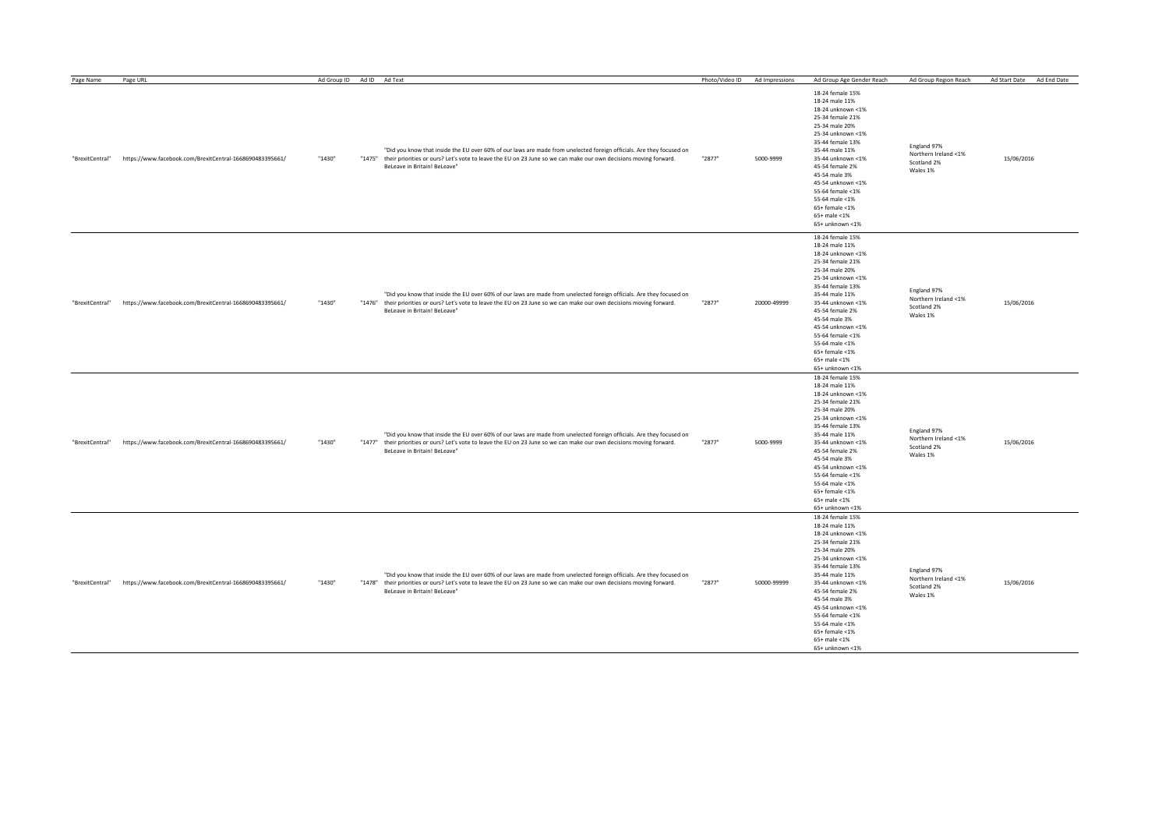| Page Name       | Page URL                                                 | Ad Group ID | Ad ID Ad Text                                                                                                                                                                                                                                                                   | Photo/Video ID | Ad Impressions | Ad Group Age Gender Reach                                                                                                                                                                                                                                                                                                             | Ad Group Region Reach                                          | Ad Start Date<br>Ad End Date |
|-----------------|----------------------------------------------------------|-------------|---------------------------------------------------------------------------------------------------------------------------------------------------------------------------------------------------------------------------------------------------------------------------------|----------------|----------------|---------------------------------------------------------------------------------------------------------------------------------------------------------------------------------------------------------------------------------------------------------------------------------------------------------------------------------------|----------------------------------------------------------------|------------------------------|
| "BrexitCentral" | https://www.facebook.com/BrexitCentral-1668690483395661/ | "1430"      | "Did you know that inside the EU over 60% of our laws are made from unelected foreign officials. Are they focused on<br>"1475" their priorities or ours? Let's vote to leave the EU on 23 June so we can make our own decisions moving forward.<br>BeLeave in Britain! BeLeave" | "2877"         | 5000-9999      | 18-24 female 15%<br>18-24 male 11%<br>18-24 unknown <1%<br>25-34 female 21%<br>25-34 male 20%<br>25-34 unknown <1%<br>35-44 female 13%<br>35-44 male 11%<br>35-44 unknown <1%<br>45-54 female 2%<br>45-54 male 3%<br>45-54 unknown <1%<br>55-64 female <1%<br>55-64 male <1%<br>$65+$ female <1%<br>$65+$ male <1%<br>65+ unknown <1% | England 97%<br>Northern Ireland <1%<br>Scotland 2%<br>Wales 1% | 15/06/2016                   |
| "BrexitCentral" | https://www.facebook.com/BrexitCentral-1668690483395661/ | "1430"      | "Did you know that inside the EU over 60% of our laws are made from unelected foreign officials. Are they focused on<br>"1476" their priorities or ours? Let's vote to leave the EU on 23 June so we can make our own decisions moving forward.<br>BeLeave in Britain! BeLeave" | "2877"         | 20000-49999    | 18-24 female 15%<br>18-24 male 11%<br>18-24 unknown <1%<br>25-34 female 21%<br>25-34 male 20%<br>25-34 unknown <1%<br>35-44 female 13%<br>35-44 male 11%<br>35-44 unknown <1%<br>45-54 female 2%<br>45-54 male 3%<br>45-54 unknown <1%<br>55-64 female <1%<br>55-64 male <1%<br>$65+$ female <1%<br>$65+$ male <1%<br>65+ unknown <1% | England 97%<br>Northern Ireland <1%<br>Scotland 2%<br>Wales 1% | 15/06/2016                   |
| "BrexitCentral" | https://www.facebook.com/BrexitCentral-1668690483395661/ | "1430"      | "Did you know that inside the EU over 60% of our laws are made from unelected foreign officials. Are they focused on<br>"1477" their priorities or ours? Let's vote to leave the EU on 23 June so we can make our own decisions moving forward.<br>BeLeave in Britain! BeLeave' | "2877"         | 5000-9999      | 18-24 female 15%<br>18-24 male 11%<br>18-24 unknown <1%<br>25-34 female 21%<br>25-34 male 20%<br>25-34 unknown <1%<br>35-44 female 13%<br>35-44 male 11%<br>35-44 unknown <1%<br>45-54 female 2%<br>45-54 male 3%<br>45-54 unknown <1%<br>55-64 female <1%<br>55-64 male <1%<br>$65+$ female <1%<br>$65+$ male <1%<br>65+ unknown <1% | England 97%<br>Northern Ireland <1%<br>Scotland 2%<br>Wales 1% | 15/06/2016                   |
| "BrexitCentral" | https://www.facebook.com/BrexitCentral-1668690483395661/ | "1430"      | "Did you know that inside the EU over 60% of our laws are made from unelected foreign officials. Are they focused on<br>"1478" their priorities or ours? Let's vote to leave the EU on 23 June so we can make our own decisions moving forward.<br>BeLeave in Britain! BeLeave" | "2877"         | 50000-99999    | 18-24 female 15%<br>18-24 male 11%<br>18-24 unknown <1%<br>25-34 female 21%<br>25-34 male 20%<br>25-34 unknown <1%<br>35-44 female 13%<br>35-44 male 11%<br>35-44 unknown <1%<br>45-54 female 2%<br>45-54 male 3%<br>45-54 unknown <1%<br>55-64 female <1%<br>55-64 male <1%<br>$65+$ female <1%<br>$65+$ male <1%<br>65+ unknown <1% | England 97%<br>Northern Ireland <1%<br>Scotland 2%<br>Wales 1% | 15/06/2016                   |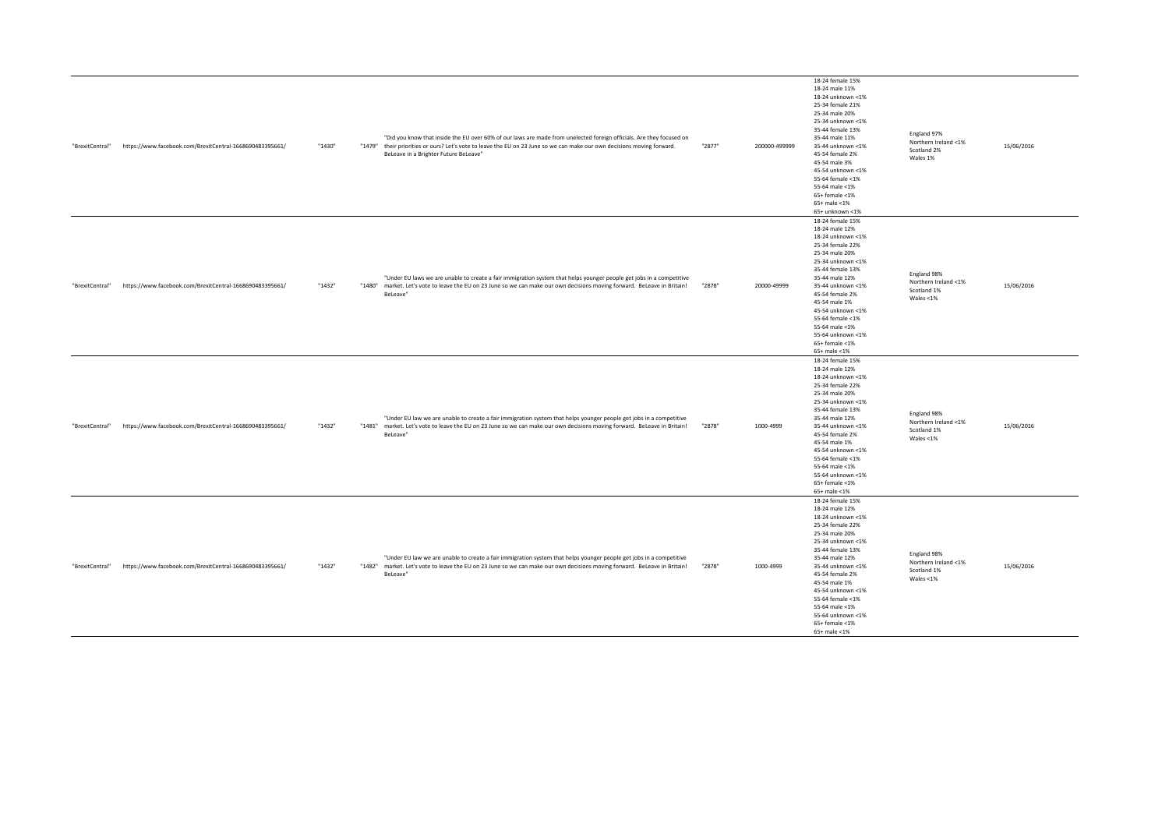| "BrexitCentral" | https://www.facebook.com/BrexitCentral-1668690483395661/ | "1430" | "Did you know that inside the EU over 60% of our laws are made from unelected foreign officials. Are they focused on<br>"1479" their priorities or ours? Let's vote to leave the EU on 23 June so we can make our own decisions moving forward.<br>BeLeave in a Brighter Future BeLeave" | "2877" | 200000-499999 | 18-24 female 15%<br>18-24 male 11%<br>18-24 unknown <1%<br>25-34 female 21%<br>25-34 male 20%<br>25-34 unknown <1%<br>35-44 female 13%<br>35-44 male 11%<br>35-44 unknown <1%<br>45-54 female 2%<br>45-54 male 3%<br>45-54 unknown <1%<br>55-64 female <1%<br>55-64 male <1%<br>$65+$ female $<$ 1%<br>$65+$ male <1%<br>65+ unknown <1% | England 97%<br>Northern Ireland <1%<br>Scotland 2%<br>Wales 1%     | 15/06/2016 |
|-----------------|----------------------------------------------------------|--------|------------------------------------------------------------------------------------------------------------------------------------------------------------------------------------------------------------------------------------------------------------------------------------------|--------|---------------|------------------------------------------------------------------------------------------------------------------------------------------------------------------------------------------------------------------------------------------------------------------------------------------------------------------------------------------|--------------------------------------------------------------------|------------|
| "BrexitCentral" | https://www.facebook.com/BrexitCentral-1668690483395661/ | "1432" | "Under EU laws we are unable to create a fair immigration system that helps younger people get jobs in a competitive<br>"1480" market. Let's vote to leave the EU on 23 June so we can make our own decisions moving forward. BeLeave in Britain!<br>BeLeave"                            | "2878" | 20000-49999   | 18-24 female 15%<br>18-24 male 12%<br>18-24 unknown <1%<br>25-34 female 22%<br>25-34 male 20%<br>25-34 unknown <1%<br>35-44 female 13%<br>35-44 male 12%<br>35-44 unknown <1%<br>45-54 female 2%<br>45-54 male 1%<br>45-54 unknown <1%<br>55-64 female <1%<br>55-64 male <1%<br>55-64 unknown <1%<br>65+ female <1%<br>65+ male <1%      | England 98%<br>Northern Ireland <1%<br>Scotland 1%<br>Wales <1%    | 15/06/2016 |
| "BrexitCentral" | https://www.facebook.com/BrexitCentral-1668690483395661/ | "1432" | "Under EU law we are unable to create a fair immigration system that helps younger people get jobs in a competitive<br>"1481" market. Let's vote to leave the EU on 23 June so we can make our own decisions moving forward. BeLeave in Britain!<br>BeLeave"                             | "2878" | 1000-4999     | 18-24 female 15%<br>18-24 male 12%<br>18-24 unknown <1%<br>25-34 female 22%<br>25-34 male 20%<br>25-34 unknown <1%<br>35-44 female 13%<br>35-44 male 12%<br>35-44 unknown <1%<br>45-54 female 2%<br>45-54 male 1%<br>45-54 unknown <1%<br>55-64 female <1%<br>55-64 male <1%<br>55-64 unknown <1%<br>$65+$ female <1%<br>65+ male <1%    | England 98%<br>Northern Ireland <1%<br>Scotland 1%<br>Wales <1%    | 15/06/2016 |
| "BrexitCentral" | https://www.facebook.com/BrexitCentral-1668690483395661/ | "1432" | "Under EU law we are unable to create a fair immigration system that helps younger people get jobs in a competitive<br>"1482" market. Let's vote to leave the EU on 23 June so we can make our own decisions moving forward. BeLeave in Britain!<br>BeLeave"                             | "2878" | 1000-4999     | 18-24 female 15%<br>18-24 male 12%<br>18-24 unknown <1%<br>25-34 female 22%<br>25-34 male 20%<br>25-34 unknown <1%<br>35-44 female 13%<br>35-44 male 12%<br>35-44 unknown <1%<br>45-54 female 2%<br>45-54 male 1%<br>45-54 unknown <1%<br>55-64 female <1%<br>55-64 male <1%<br>55-64 unknown <1%<br>$65+$ female <1%<br>$65+$ male <1%  | England 98%<br>Northern Ireland <1%<br>Scotland 1%<br>Wales $<$ 1% | 15/06/2016 |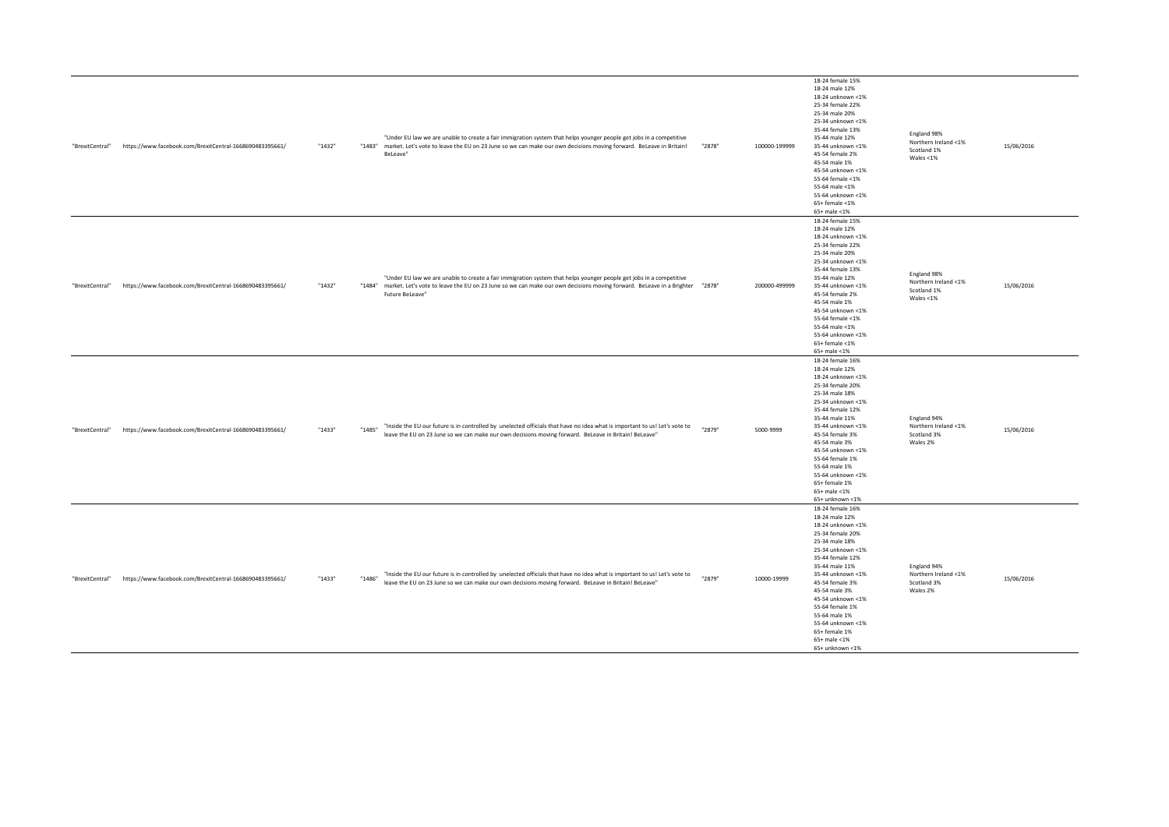| "BrexitCentral" | https://www.facebook.com/BrexitCentral-1668690483395661/ | "1432" |        | "Under EU law we are unable to create a fair immigration system that helps younger people get jobs in a competitive<br>"1483" market. Let's vote to leave the EU on 23 June so we can make our own decisions moving forward. BeLeave in Britain!<br>BeLeave"                 | "2878" | 100000-199999 | 18-24 female 15%<br>18-24 male 12%<br>18-24 unknown <1%<br>25-34 female 22%<br>25-34 male 20%<br>25-34 unknown <1%<br>35-44 female 13%<br>35-44 male 12%<br>35-44 unknown <1%<br>45-54 female 2%<br>45-54 male 1%<br>45-54 unknown <1%<br>55-64 female <1%<br>55-64 male <1%<br>55-64 unknown <1%<br>$65+$ female <1%<br>65+ male <1%                 | England 98%<br>Northern Ireland <1%<br>Scotland 1%<br>Wales $<$ 1% | 15/06/2016 |
|-----------------|----------------------------------------------------------|--------|--------|------------------------------------------------------------------------------------------------------------------------------------------------------------------------------------------------------------------------------------------------------------------------------|--------|---------------|-------------------------------------------------------------------------------------------------------------------------------------------------------------------------------------------------------------------------------------------------------------------------------------------------------------------------------------------------------|--------------------------------------------------------------------|------------|
| "BrexitCentral" | https://www.facebook.com/BrexitCentral-1668690483395661/ | "1432" |        | "Under EU law we are unable to create a fair immigration system that helps younger people get jobs in a competitive<br>"1284" market. Let's vote to leave the EU on 23 June so we can make our own decisions moving forward. BeLeave in a Brighter "2878"<br>Future BeLeave" |        | 200000-499999 | 18-24 female 15%<br>18-24 male 12%<br>18-24 unknown <1%<br>25-34 female 22%<br>25-34 male 20%<br>25-34 unknown <1%<br>35-44 female 13%<br>35-44 male 12%<br>35-44 unknown <1%<br>45-54 female 2%<br>45-54 male 1%<br>45-54 unknown <1%<br>55-64 female <1%<br>55-64 male <1%<br>55-64 unknown <1%<br>$65+$ female <1%<br>$65+$ male <1%               | England 98%<br>Northern Ireland <1%<br>Scotland 1%<br>Wales <1%    | 15/06/2016 |
| "BrexitCentral" | https://www.facebook.com/BrexitCentral-1668690483395661/ | "1433" | "1485" | "Inside the EU our future is in controlled by unelected officials that have no idea what is important to us! Let's vote to<br>leave the EU on 23 June so we can make our own decisions moving forward. BeLeave in Britain! BeLeave"                                          | "2879" | 5000-9999     | 18-24 female 16%<br>18-24 male 12%<br>18-24 unknown <1%<br>25-34 female 20%<br>25-34 male 18%<br>25-34 unknown <1%<br>35-44 female 12%<br>35-44 male 11%<br>35-44 unknown <1%<br>45-54 female 3%<br>45-54 male 3%<br>45-54 unknown <1%<br>55-64 female 1%<br>55-64 male 1%<br>55-64 unknown <1%<br>65+ female 1%<br>65+ male <1%<br>65+ unknown <1%   | England 94%<br>Northern Ireland <1%<br>Scotland 3%<br>Wales 2%     | 15/06/2016 |
| "BrexitCentral" | https://www.facebook.com/BrexitCentral-1668690483395661/ | "1433" | "1486" | "Inside the EU our future is in controlled by unelected officials that have no idea what is important to us! Let's vote to<br>leave the EU on 23 June so we can make our own decisions moving forward. BeLeave in Britain! BeLeave"                                          | "2879" | 10000-19999   | 18-24 female 16%<br>18-24 male 12%<br>18-24 unknown <1%<br>25-34 female 20%<br>25-34 male 18%<br>25-34 unknown <1%<br>35-44 female 12%<br>35-44 male 11%<br>35-44 unknown <1%<br>45-54 female 3%<br>45-54 male 3%<br>45-54 unknown <1%<br>55-64 female 1%<br>55-64 male 1%<br>55-64 unknown <1%<br>65+ female 1%<br>$65+$ male <1%<br>65+ unknown <1% | England 94%<br>Northern Ireland <1%<br>Scotland 3%<br>Wales 2%     | 15/06/2016 |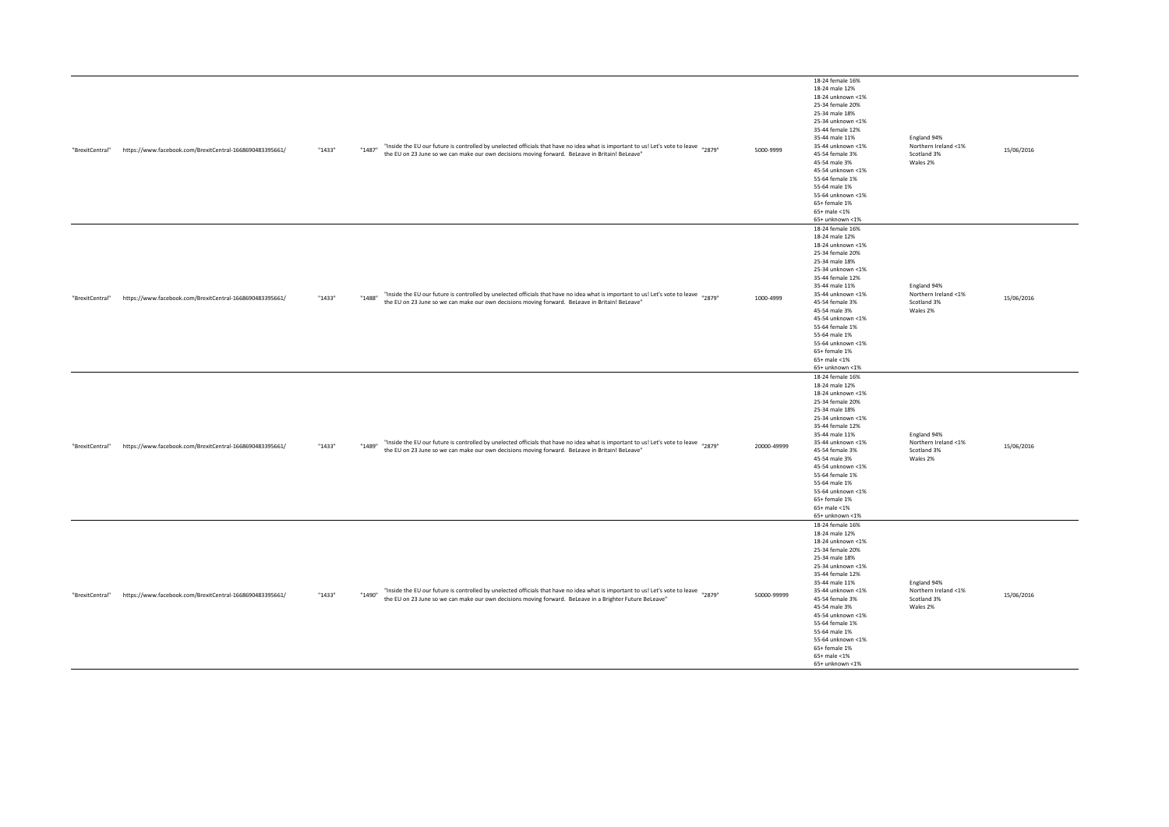| "BrexitCentral" | https://www.facebook.com/BrexitCentral-1668690483395661/ | "1433" | "Inside the EU our future is controlled by unelected officials that have no idea what is important to us! Let's vote to leave <sub>"2879"</sub><br>"1487"<br>the EU on 23 June so we can make our own decisions moving forward. BeLeave in Britain! BeLeave" | 5000-9999   | 18-24 female 16%<br>18-24 male 12%<br>18-24 unknown <1%<br>25-34 female 20%<br>25-34 male 18%<br>25-34 unknown <1%<br>35-44 female 12%<br>35-44 male 11%<br>35-44 unknown <1%<br>45-54 female 3%<br>45-54 male 3%<br>45-54 unknown <1%<br>55-64 female 1%<br>55-64 male 1%<br>55-64 unknown <1%<br>65+ female 1%<br>65+ male <1%<br>65+ unknown <1% | England 94%<br>Northern Ireland <1%<br>Scotland 3%<br>Wales 2% | 15/06/2016 |
|-----------------|----------------------------------------------------------|--------|--------------------------------------------------------------------------------------------------------------------------------------------------------------------------------------------------------------------------------------------------------------|-------------|-----------------------------------------------------------------------------------------------------------------------------------------------------------------------------------------------------------------------------------------------------------------------------------------------------------------------------------------------------|----------------------------------------------------------------|------------|
| "BrexitCentral" | https://www.facebook.com/BrexitCentral-1668690483395661/ | "1433" | "Inside the EU our future is controlled by unelected officials that have no idea what is important to us! Let's vote to leave "2879"<br>"1488"<br>the EU on 23 June so we can make our own decisions moving forward. BeLeave in Britain! BeLeave"            | 1000-4999   | 18-24 female 16%<br>18-24 male 12%<br>18-24 unknown <1%<br>25-34 female 20%<br>25-34 male 18%<br>25-34 unknown <1%<br>35-44 female 12%<br>35-44 male 11%<br>35-44 unknown <1%<br>45-54 female 3%<br>45-54 male 3%<br>45-54 unknown <1%<br>55-64 female 1%<br>55-64 male 1%<br>55-64 unknown <1%<br>65+ female 1%<br>65+ male <1%<br>65+ unknown <1% | England 94%<br>Northern Ireland <1%<br>Scotland 3%<br>Wales 2% | 15/06/2016 |
| "BrexitCentral" | https://www.facebook.com/BrexitCentral-1668690483395661/ | "1433" | "Inside the EU our future is controlled by unelected officials that have no idea what is important to us! Let's vote to leave "2879"<br>"1489"<br>the EU on 23 June so we can make our own decisions moving forward. BeLeave in Britain! BeLeave"            | 20000-49999 | 18-24 female 16%<br>18-24 male 12%<br>18-24 unknown <1%<br>25-34 female 20%<br>25-34 male 18%<br>25-34 unknown <1%<br>35-44 female 12%<br>35-44 male 11%<br>35-44 unknown <1%<br>45-54 female 3%<br>45-54 male 3%<br>45-54 unknown <1%<br>55-64 female 1%<br>55-64 male 1%<br>55-64 unknown <1%<br>65+ female 1%<br>65+ male <1%<br>65+ unknown <1% | England 94%<br>Northern Ireland <1%<br>Scotland 3%<br>Wales 2% | 15/06/2016 |
| "BrexitCentral" | https://www.facebook.com/BrexitCentral-1668690483395661/ | "1433" | "Inside the EU our future is controlled by unelected officials that have no idea what is important to us! Let's vote to leave "2879"<br>"1490"<br>the EU on 23 June so we can make our own decisions moving forward. BeLeave in a Brighter Future BeLeave"   | 50000-99999 | 18-24 female 16%<br>18-24 male 12%<br>18-24 unknown <1%<br>25-34 female 20%<br>25-34 male 18%<br>25-34 unknown <1%<br>35-44 female 12%<br>35-44 male 11%<br>35-44 unknown <1%<br>45-54 female 3%<br>45-54 male 3%<br>45-54 unknown <1%<br>55-64 female 1%<br>55-64 male 1%<br>55-64 unknown <1%<br>65+ female 1%<br>65+ male <1%<br>65+ unknown <1% | England 94%<br>Northern Ireland <1%<br>Scotland 3%<br>Wales 2% | 15/06/2016 |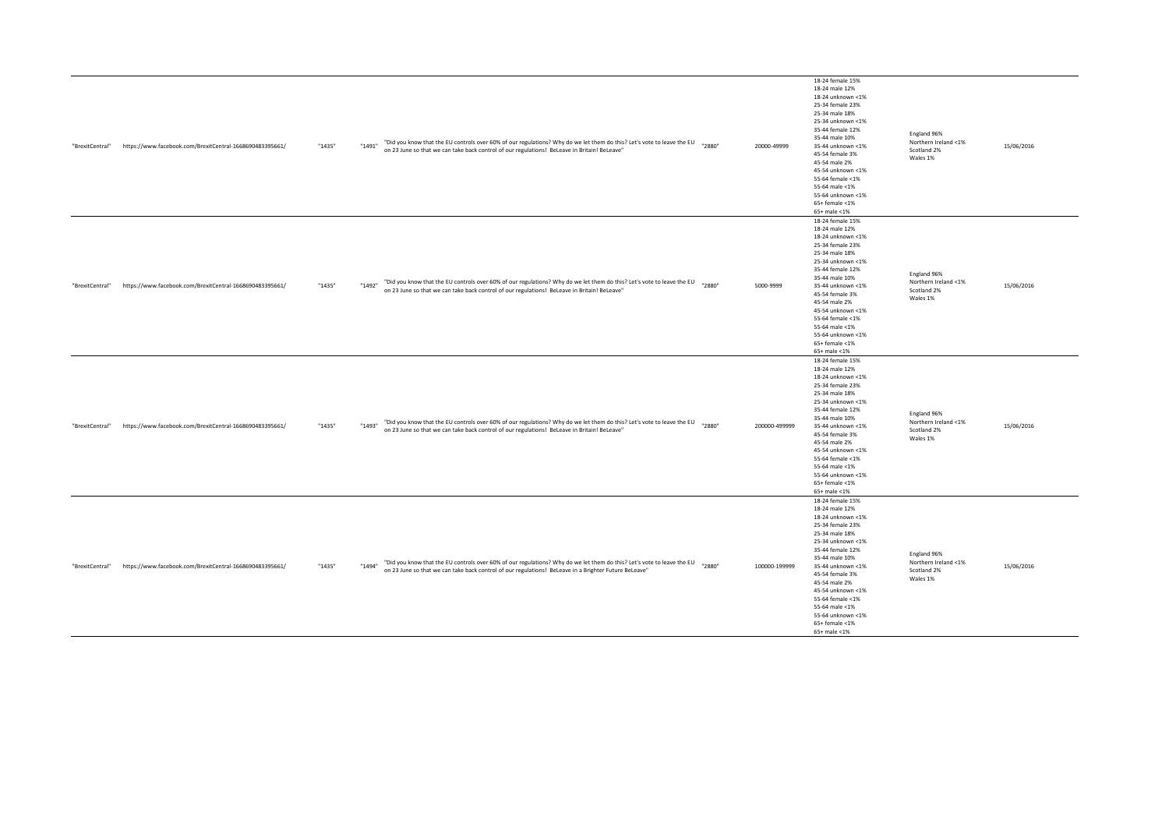| "BrexitCentral" | https://www.facebook.com/BrexitCentral-1668690483395661/ | "1435" | "Did you know that the EU controls over 60% of our regulations? Why do we let them do this? Let's vote to leave the EU "2880"<br>"1491"<br>on 23 June so that we can take back control of our regulations! BeLeave in Britain! BeLeave"          |        | 20000-49999   | 18-24 female 15%<br>18-24 male 12%<br>18-24 unknown <1%<br>25-34 female 23%<br>25-34 male 18%<br>25-34 unknown <1%<br>35-44 female 12%<br>35-44 male 10%<br>35-44 unknown <1%<br>45-54 female 3%<br>45-54 male 2%<br>45-54 unknown <1%<br>55-64 female <1%<br>55-64 male <1%<br>55-64 unknown <1%<br>$65+$ female <1%<br>65+ male <1% | England 96%<br>Northern Ireland <1%<br>Scotland 2%<br>Wales 1% | 15/06/2016 |
|-----------------|----------------------------------------------------------|--------|--------------------------------------------------------------------------------------------------------------------------------------------------------------------------------------------------------------------------------------------------|--------|---------------|---------------------------------------------------------------------------------------------------------------------------------------------------------------------------------------------------------------------------------------------------------------------------------------------------------------------------------------|----------------------------------------------------------------|------------|
| "BrexitCentral" | https://www.facebook.com/BrexitCentral-1668690483395661/ | "1435" | "Did you know that the EU controls over 60% of our regulations? Why do we let them do this? Let's vote to leave the EU<br>"1492"<br>on 23 June so that we can take back control of our regulations! BeLeave in Britain! BeLeave"                 | "2880" | 5000-9999     | 18-24 female 15%<br>18-24 male 12%<br>18-24 unknown <1%<br>25-34 female 23%<br>25-34 male 18%<br>25-34 unknown <1%<br>35-44 female 12%<br>35-44 male 10%<br>35-44 unknown <1%<br>45-54 female 3%<br>45-54 male 2%<br>45-54 unknown <1%<br>55-64 female <1%<br>55-64 male <1%<br>55-64 unknown <1%<br>65+ female <1%<br>65+ male <1%   | England 96%<br>Northern Ireland <1%<br>Scotland 2%<br>Wales 1% | 15/06/2016 |
| "BrexitCentral" | https://www.facebook.com/BrexitCentral-1668690483395661/ | "1435" | "Did you know that the EU controls over 60% of our regulations? Why do we let them do this? Let's vote to leave the EU "2880"<br>"1493"<br>on 23 June so that we can take back control of our regulations! BeLeave in Britain! BeLeave"          |        | 200000-499999 | 18-24 female 15%<br>18-24 male 12%<br>18-24 unknown <1%<br>25-34 female 23%<br>25-34 male 18%<br>25-34 unknown <1%<br>35-44 female 12%<br>35-44 male 10%<br>35-44 unknown <1%<br>45-54 female 3%<br>45-54 male 2%<br>45-54 unknown <1%<br>55-64 female <1%<br>55-64 male <1%<br>55-64 unknown <1%<br>$65+$ female <1%<br>65+ male <1% | England 96%<br>Northern Ireland <1%<br>Scotland 2%<br>Wales 1% | 15/06/2016 |
| "BrexitCentral" | https://www.facebook.com/BrexitCentral-1668690483395661/ | "1435" | "Did you know that the EU controls over 60% of our regulations? Why do we let them do this? Let's vote to leave the EU "2880"<br>"1494"<br>on 23 June so that we can take back control of our regulations! BeLeave in a Brighter Future BeLeave" |        | 100000-199999 | 18-24 female 15%<br>18-24 male 12%<br>18-24 unknown <1%<br>25-34 female 23%<br>25-34 male 18%<br>25-34 unknown <1%<br>35-44 female 12%<br>35-44 male 10%<br>35-44 unknown <1%<br>45-54 female 3%<br>45-54 male 2%<br>45-54 unknown <1%<br>55-64 female <1%<br>55-64 male <1%<br>55-64 unknown <1%<br>$65+$ female <1%<br>65+ male <1% | England 96%<br>Northern Ireland <1%<br>Scotland 2%<br>Wales 1% | 15/06/2016 |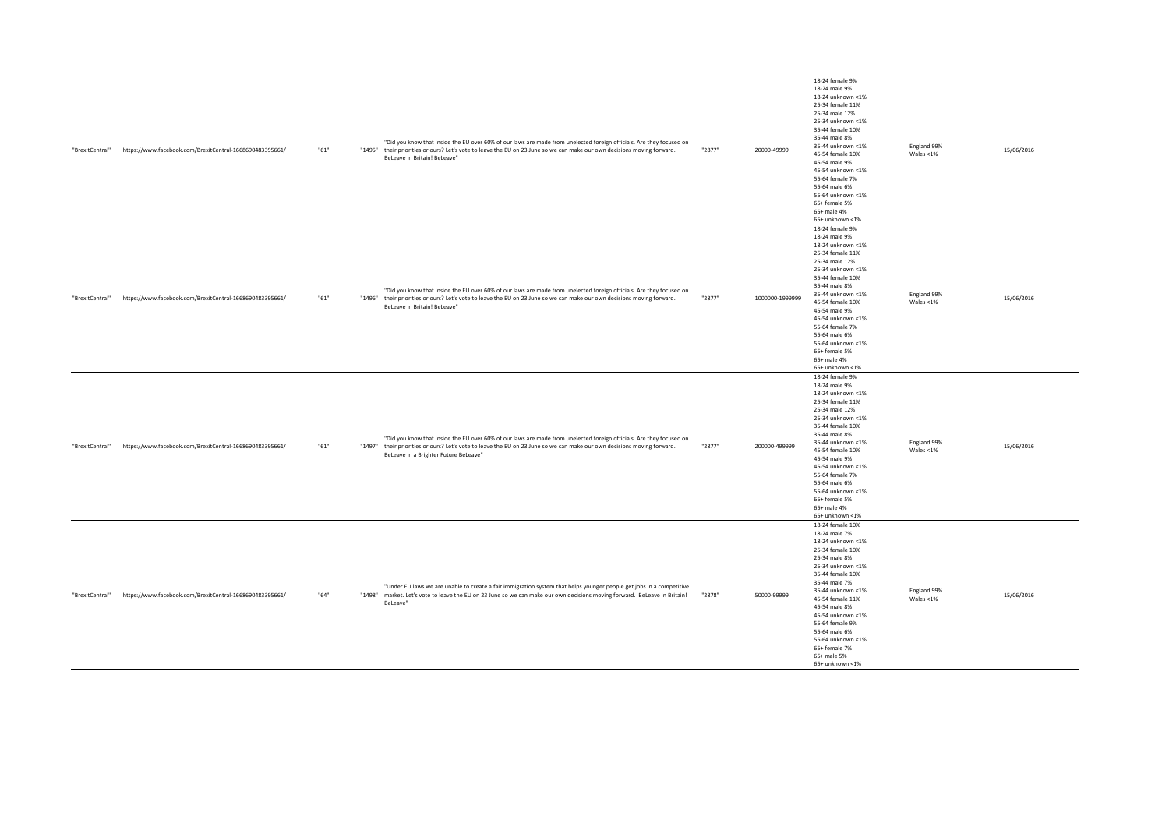| "BrexitCentral" | https://www.facebook.com/BrexitCentral-1668690483395661/ | "61" | BeLeave in Britain! BeLeave"          | "Did you know that inside the EU over 60% of our laws are made from unelected foreign officials. Are they focused on<br>"1495" their priorities or ours? Let's vote to leave the EU on 23 June so we can make our own decisions moving forward.   | "2877" | 20000-49999     | 18-24 female 9%<br>18-24 male 9%<br>18-24 unknown <1%<br>25-34 female 11%<br>25-34 male 12%<br>25-34 unknown <1%<br>35-44 female 10%<br>35-44 male 8%<br>35-44 unknown <1%<br>45-54 female 10%<br>45-54 male 9%<br>45-54 unknown <1%<br>55-64 female 7%<br>55-64 male 6%<br>55-64 unknown <1%<br>65+ female 5%<br>65+ male 4%<br>65+ unknown <1% | England 99%<br>Wales $<$ 1% | 15/06/2016 |
|-----------------|----------------------------------------------------------|------|---------------------------------------|---------------------------------------------------------------------------------------------------------------------------------------------------------------------------------------------------------------------------------------------------|--------|-----------------|--------------------------------------------------------------------------------------------------------------------------------------------------------------------------------------------------------------------------------------------------------------------------------------------------------------------------------------------------|-----------------------------|------------|
| "BrexitCentral" | https://www.facebook.com/BrexitCentral-1668690483395661/ | "61" | BeLeave in Britain! BeLeave"          | "Did you know that inside the EU over 60% of our laws are made from unelected foreign officials. Are they focused on<br>"1496" their priorities or ours? Let's vote to leave the EU on 23 June so we can make our own decisions moving forward.   | "2877" | 1000000-1999999 | 18-24 female 9%<br>18-24 male 9%<br>18-24 unknown <1%<br>25-34 female 11%<br>25-34 male 12%<br>25-34 unknown <1%<br>35-44 female 10%<br>35-44 male 8%<br>35-44 unknown <1%<br>45-54 female 10%<br>45-54 male 9%<br>45-54 unknown <1%<br>55-64 female 7%<br>55-64 male 6%<br>55-64 unknown <1%<br>65+ female 5%<br>65+ male 4%<br>65+ unknown <1% | England 99%<br>Wales <1%    | 15/06/2016 |
| "BrexitCentral" | https://www.facebook.com/BrexitCentral-1668690483395661/ | "61" | BeLeave in a Brighter Future BeLeave" | "Did you know that inside the EU over 60% of our laws are made from unelected foreign officials. Are they focused on<br>"1497" their priorities or ours? Let's vote to leave the EU on 23 June so we can make our own decisions moving forward.   | "2877" | 200000-499999   | 18-24 female 9%<br>18-24 male 9%<br>18-24 unknown <1%<br>25-34 female 11%<br>25-34 male 12%<br>25-34 unknown <1%<br>35-44 female 10%<br>35-44 male 8%<br>35-44 unknown <1%<br>45-54 female 10%<br>45-54 male 9%<br>45-54 unknown <1%<br>55-64 female 7%<br>55-64 male 6%<br>55-64 unknown <1%<br>65+ female 5%<br>65+ male 4%<br>65+ unknown <1% | England 99%<br>Wales $<$ 1% | 15/06/2016 |
| "BrexitCentral" | https://www.facebook.com/BrexitCentral-1668690483395661/ | "64" | BeLeave"                              | "Under EU laws we are unable to create a fair immigration system that helps younger people get jobs in a competitive<br>"1498" market. Let's vote to leave the EU on 23 June so we can make our own decisions moving forward. BeLeave in Britain! | "2878" | 50000-99999     | 18-24 female 10%<br>18-24 male 7%<br>18-24 unknown <1%<br>25-34 female 10%<br>25-34 male 8%<br>25-34 unknown <1%<br>35-44 female 10%<br>35-44 male 7%<br>35-44 unknown <1%<br>45-54 female 11%<br>45-54 male 8%<br>45-54 unknown <1%<br>55-64 female 9%<br>55-64 male 6%<br>55-64 unknown <1%<br>65+ female 7%<br>65+ male 5%<br>65+ unknown <1% | England 99%<br>Wales $<$ 1% | 15/06/2016 |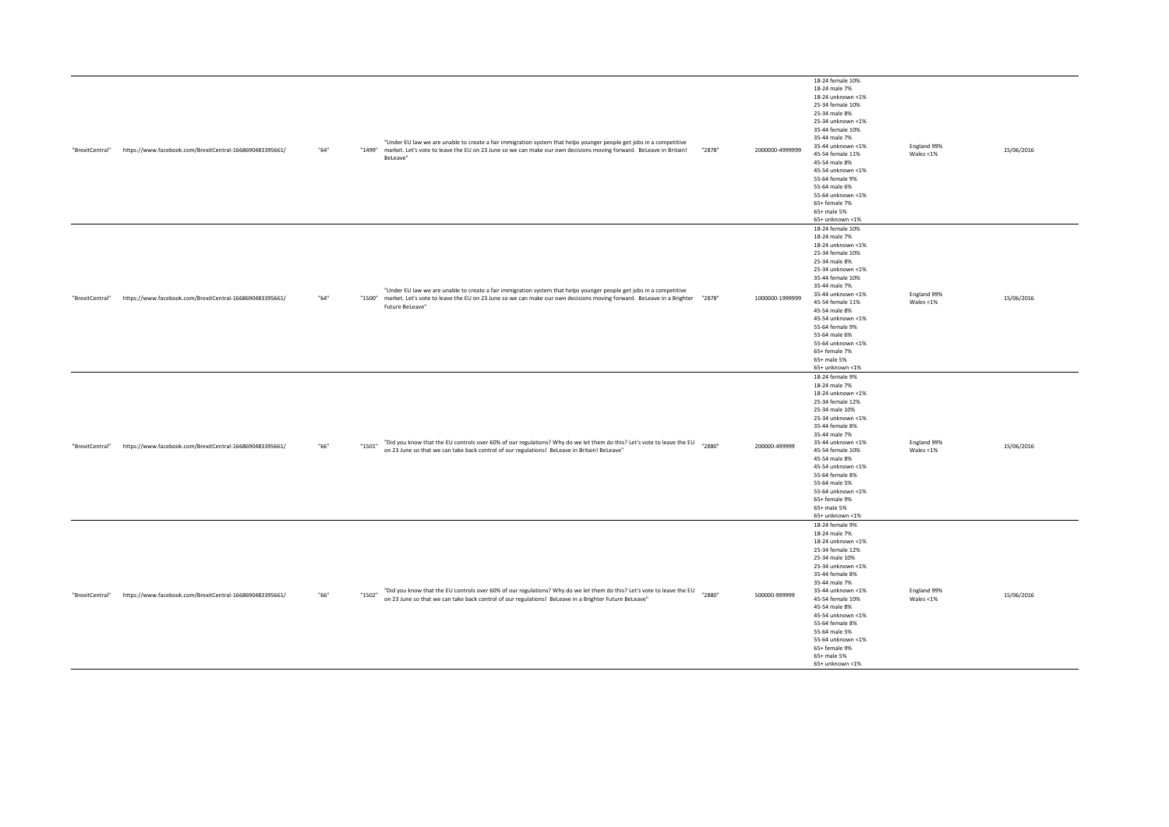| "BrexitCentral" | https://www.facebook.com/BrexitCentral-1668690483395661/ | "64" | "1499" market. Let's vote to leave the EU on 23 June so we can make our own decisions moving forward. BeLeave in Britain!<br>BeLeave" | "Under EU law we are unable to create a fair immigration system that helps younger people get jobs in a competitive                                                                                                                                       | "2878" | 2000000-4999999 | 18-24 female 10%<br>18-24 male 7%<br>18-24 unknown <1%<br>25-34 female 10%<br>25-34 male 8%<br>25-34 unknown <1%<br>35-44 female 10%<br>35-44 male 7%<br>35-44 unknown <1%<br>45-54 female 11%<br>45-54 male 8%<br>45-54 unknown <1%<br>55-64 female 9%<br>55-64 male 6%<br>55-64 unknown <1%<br>65+ female 7%<br>65+ male 5%<br>65+ unknown <1% | England 99%<br>Wales $<$ 1% | 15/06/2016 |
|-----------------|----------------------------------------------------------|------|---------------------------------------------------------------------------------------------------------------------------------------|-----------------------------------------------------------------------------------------------------------------------------------------------------------------------------------------------------------------------------------------------------------|--------|-----------------|--------------------------------------------------------------------------------------------------------------------------------------------------------------------------------------------------------------------------------------------------------------------------------------------------------------------------------------------------|-----------------------------|------------|
| "BrexitCentral" | https://www.facebook.com/BrexitCentral-1668690483395661/ | "64" | Future BeLeave"                                                                                                                       | "Under EU law we are unable to create a fair immigration system that helps younger people get jobs in a competitive<br>"1200" market. Let's vote to leave the EU on 23 June so we can make our own decisions moving forward. BeLeave in a Brighter "2878" |        | 1000000-1999999 | 18-24 female 10%<br>18-24 male 7%<br>18-24 unknown <1%<br>25-34 female 10%<br>25-34 male 8%<br>25-34 unknown <1%<br>35-44 female 10%<br>35-44 male 7%<br>35-44 unknown <1%<br>45-54 female 11%<br>45-54 male 8%<br>45-54 unknown <1%<br>55-64 female 9%<br>55-64 male 6%<br>55-64 unknown <1%<br>65+ female 7%<br>65+ male 5%<br>65+ unknown <1% | England 99%<br>Wales <1%    | 15/06/2016 |
| "BrexitCentral" | https://www.facebook.com/BrexitCentral-1668690483395661/ | "66" | "1501"<br>on 23 June so that we can take back control of our regulations! BeLeave in Britain! BeLeave"                                | "Did you know that the EU controls over 60% of our regulations? Why do we let them do this? Let's vote to leave the EU "2880"                                                                                                                             |        | 200000-499999   | 18-24 female 9%<br>18-24 male 7%<br>18-24 unknown <1%<br>25-34 female 12%<br>25-34 male 10%<br>25-34 unknown <1%<br>35-44 female 8%<br>35-44 male 7%<br>35-44 unknown <1%<br>45-54 female 10%<br>45-54 male 8%<br>45-54 unknown <1%<br>55-64 female 8%<br>55-64 male 5%<br>55-64 unknown <1%<br>65+ female 9%<br>65+ male 5%<br>65+ unknown <1%  | England 99%<br>Wales <1%    | 15/06/2016 |
| "BrexitCentral" | https://www.facebook.com/BrexitCentral-1668690483395661/ | "66" | "1502"<br>on 23 June so that we can take back control of our regulations! BeLeave in a Brighter Future BeLeave"                       | "Did you know that the EU controls over 60% of our regulations? Why do we let them do this? Let's vote to leave the EU                                                                                                                                    | "2880" | 500000-999999   | 18-24 female 9%<br>18-24 male 7%<br>18-24 unknown <1%<br>25-34 female 12%<br>25-34 male 10%<br>25-34 unknown <1%<br>35-44 female 8%<br>35-44 male 7%<br>35-44 unknown <1%<br>45-54 female 10%<br>45-54 male 8%<br>45-54 unknown <1%<br>55-64 female 8%<br>55-64 male 5%<br>55-64 unknown <1%<br>65+ female 9%<br>65+ male 5%<br>65+ unknown <1%  | England 99%<br>Wales <1%    | 15/06/2016 |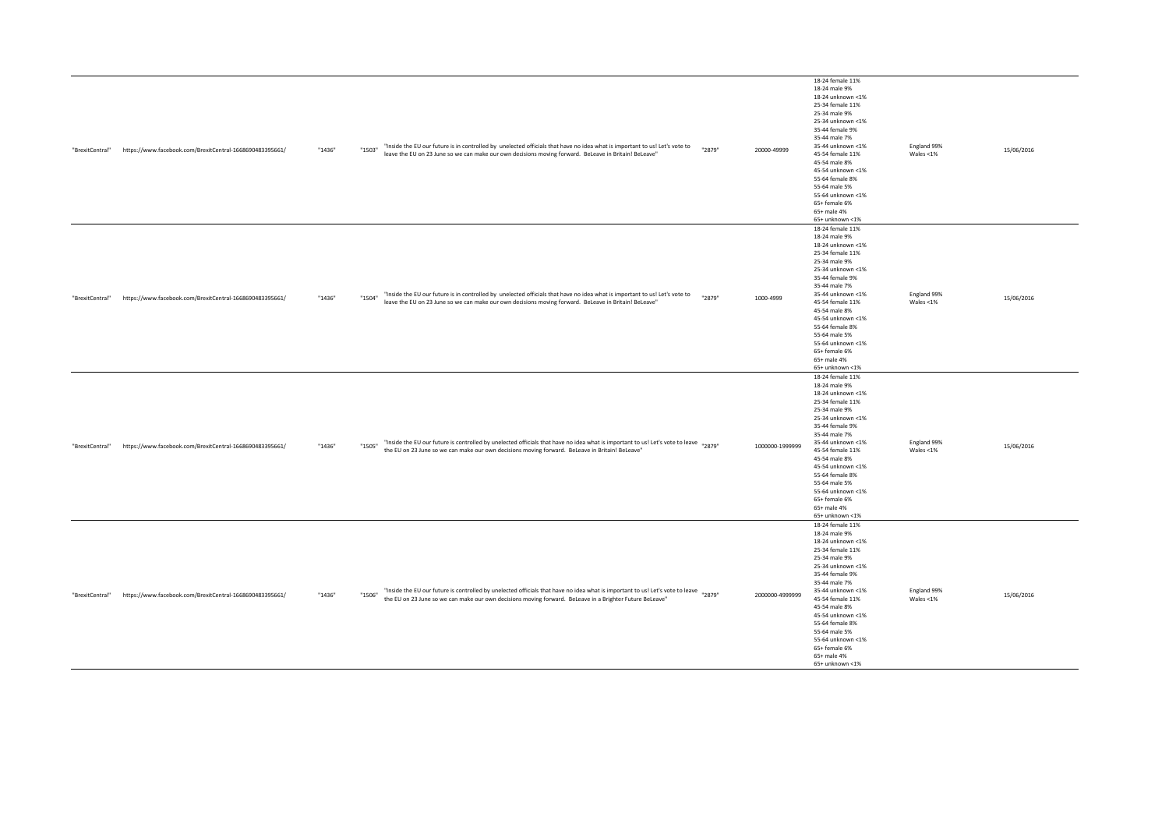| "BrexitCentral" | https://www.facebook.com/BrexitCentral-1668690483395661/ | "1436" | "Inside the EU our future is in controlled by unelected officials that have no idea what is important to us! Let's vote to<br>"1503"<br>"2879"<br>leave the EU on 23 June so we can make our own decisions moving forward. BeLeave in Britain! BeLeave"    | 20000-49999     | 18-24 female 11%<br>18-24 male 9%<br>18-24 unknown <1%<br>25-34 female 11%<br>25-34 male 9%<br>25-34 unknown <1%<br>35-44 female 9%<br>35-44 male 7%<br>35-44 unknown <1%<br>45-54 female 11%<br>45-54 male 8%<br>45-54 unknown <1%<br>55-64 female 8%<br>55-64 male 5%<br>55-64 unknown <1%<br>65+ female 6%<br>65+ male 4%<br>65+ unknown <1% | England 99%<br>Wales <1%    | 15/06/2016 |
|-----------------|----------------------------------------------------------|--------|------------------------------------------------------------------------------------------------------------------------------------------------------------------------------------------------------------------------------------------------------------|-----------------|-------------------------------------------------------------------------------------------------------------------------------------------------------------------------------------------------------------------------------------------------------------------------------------------------------------------------------------------------|-----------------------------|------------|
| "BrexitCentral" | https://www.facebook.com/BrexitCentral-1668690483395661/ | "1436" | "Inside the EU our future is in controlled by unelected officials that have no idea what is important to us! Let's vote to<br>"2879"<br>"1504"<br>leave the EU on 23 June so we can make our own decisions moving forward. BeLeave in Britain! BeLeave"    | 1000-4999       | 18-24 female 11%<br>18-24 male 9%<br>18-24 unknown <1%<br>25-34 female 11%<br>25-34 male 9%<br>25-34 unknown <1%<br>35-44 female 9%<br>35-44 male 7%<br>35-44 unknown <1%<br>45-54 female 11%<br>45-54 male 8%<br>45-54 unknown <1%<br>55-64 female 8%<br>55-64 male 5%<br>55-64 unknown <1%<br>65+ female 6%<br>65+ male 4%<br>65+ unknown <1% | England 99%<br>Wales $<$ 1% | 15/06/2016 |
| "BrexitCentral" | https://www.facebook.com/BrexitCentral-1668690483395661/ | "1436" | "Inside the EU our future is controlled by unelected officials that have no idea what is important to us! Let's vote to leave "2879"<br>"1505"<br>the EU on 23 June so we can make our own decisions moving forward. BeLeave in Britain! BeLeave"          | 1000000-1999999 | 18-24 female 11%<br>18-24 male 9%<br>18-24 unknown <1%<br>25-34 female 11%<br>25-34 male 9%<br>25-34 unknown <1%<br>35-44 female 9%<br>35-44 male 7%<br>35-44 unknown <1%<br>45-54 female 11%<br>45-54 male 8%<br>45-54 unknown <1%<br>55-64 female 8%<br>55-64 male 5%<br>55-64 unknown <1%<br>65+ female 6%<br>65+ male 4%<br>65+ unknown <1% | England 99%<br>Wales <1%    | 15/06/2016 |
| "BrexitCentral" | https://www.facebook.com/BrexitCentral-1668690483395661/ | "1436" | "Inside the EU our future is controlled by unelected officials that have no idea what is important to us! Let's vote to leave "2879"<br>"1506"<br>the EU on 23 June so we can make our own decisions moving forward. BeLeave in a Brighter Future BeLeave" | 2000000-4999999 | 18-24 female 11%<br>18-24 male 9%<br>18-24 unknown <1%<br>25-34 female 11%<br>25-34 male 9%<br>25-34 unknown <1%<br>35-44 female 9%<br>35-44 male 7%<br>35-44 unknown <1%<br>45-54 female 11%<br>45-54 male 8%<br>45-54 unknown <1%<br>55-64 female 8%<br>55-64 male 5%<br>55-64 unknown <1%<br>65+ female 6%<br>65+ male 4%<br>65+ unknown <1% | England 99%<br>Wales <1%    | 15/06/2016 |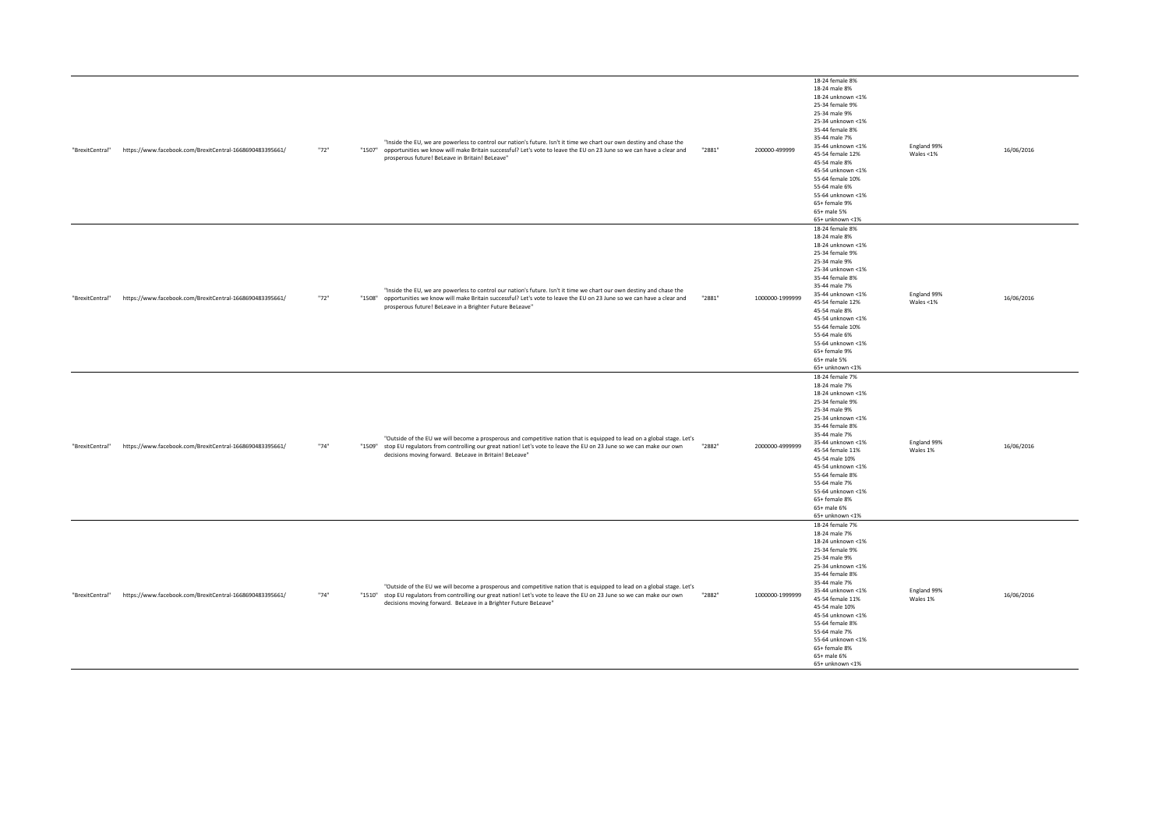| "BrexitCentral" | https://www.facebook.com/BrexitCentral-1668690483395661/ | "72" | "Inside the EU, we are powerless to control our nation's future. Isn't it time we chart our own destiny and chase the<br>"1507" opportunities we know will make Britain successful? Let's vote to leave the EU on 23 June so we can have a clear and<br>prosperous future! BeLeave in Britain! BeLeave"                 | 200000-499999<br>"2881"   | 18-24 female 8%<br>18-24 male 8%<br>18-24 unknown <1%<br>25-34 female 9%<br>25-34 male 9%<br>25-34 unknown <1%<br>35-44 female 8%<br>35-44 male 7%<br>35-44 unknown <1%<br>45-54 female 12%<br>45-54 male 8%<br>45-54 unknown <1%<br>55-64 female 10%<br>55-64 male 6%<br>55-64 unknown <1%<br>65+ female 9%<br>65+ male 5%<br>65+ unknown <1% | England 99%<br>Wales $<$ 1% | 16/06/2016 |
|-----------------|----------------------------------------------------------|------|-------------------------------------------------------------------------------------------------------------------------------------------------------------------------------------------------------------------------------------------------------------------------------------------------------------------------|---------------------------|------------------------------------------------------------------------------------------------------------------------------------------------------------------------------------------------------------------------------------------------------------------------------------------------------------------------------------------------|-----------------------------|------------|
| "BrexitCentral" | https://www.facebook.com/BrexitCentral-1668690483395661/ | "72" | "Inside the EU, we are powerless to control our nation's future. Isn't it time we chart our own destiny and chase the<br>"1508" opportunities we know will make Britain successful? Let's vote to leave the EU on 23 June so we can have a clear and<br>prosperous future! BeLeave in a Brighter Future BeLeave"        | "2881"<br>1000000-1999999 | 18-24 female 8%<br>18-24 male 8%<br>18-24 unknown <1%<br>25-34 female 9%<br>25-34 male 9%<br>25-34 unknown <1%<br>35-44 female 8%<br>35-44 male 7%<br>35-44 unknown <1%<br>45-54 female 12%<br>45-54 male 8%<br>45-54 unknown <1%<br>55-64 female 10%<br>55-64 male 6%<br>55-64 unknown <1%<br>65+ female 9%<br>65+ male 5%<br>65+ unknown <1% | England 99%<br>Wales <1%    | 16/06/2016 |
| "BrexitCentral" | https://www.facebook.com/BrexitCentral-1668690483395661/ | "74" | "Outside of the EU we will become a prosperous and competitive nation that is equipped to lead on a global stage. Let's<br>"1509" stop EU regulators from controlling our great nation! Let's vote to leave the EU on 23 June so we can make our own<br>decisions moving forward. BeLeave in Britain! BeLeave"          | 2000000-4999999<br>"2882" | 18-24 female 7%<br>18-24 male 7%<br>18-24 unknown <1%<br>25-34 female 9%<br>25-34 male 9%<br>25-34 unknown <1%<br>35-44 female 8%<br>35-44 male 7%<br>35-44 unknown <1%<br>45-54 female 11%<br>45-54 male 10%<br>45-54 unknown <1%<br>55-64 female 8%<br>55-64 male 7%<br>55-64 unknown <1%<br>65+ female 8%<br>65+ male 6%<br>65+ unknown <1% | England 99%<br>Wales 1%     | 16/06/2016 |
| "BrexitCentral" | https://www.facebook.com/BrexitCentral-1668690483395661/ | "74" | "Outside of the EU we will become a prosperous and competitive nation that is equipped to lead on a global stage. Let's<br>"1510" stop EU regulators from controlling our great nation! Let's vote to leave the EU on 23 June so we can make our own<br>decisions moving forward. BeLeave in a Brighter Future BeLeave" | 1000000-1999999<br>"2882" | 18-24 female 7%<br>18-24 male 7%<br>18-24 unknown <1%<br>25-34 female 9%<br>25-34 male 9%<br>25-34 unknown <1%<br>35-44 female 8%<br>35-44 male 7%<br>35-44 unknown <1%<br>45-54 female 11%<br>45-54 male 10%<br>45-54 unknown <1%<br>55-64 female 8%<br>55-64 male 7%<br>55-64 unknown <1%<br>65+ female 8%<br>65+ male 6%<br>65+ unknown <1% | England 99%<br>Wales 1%     | 16/06/2016 |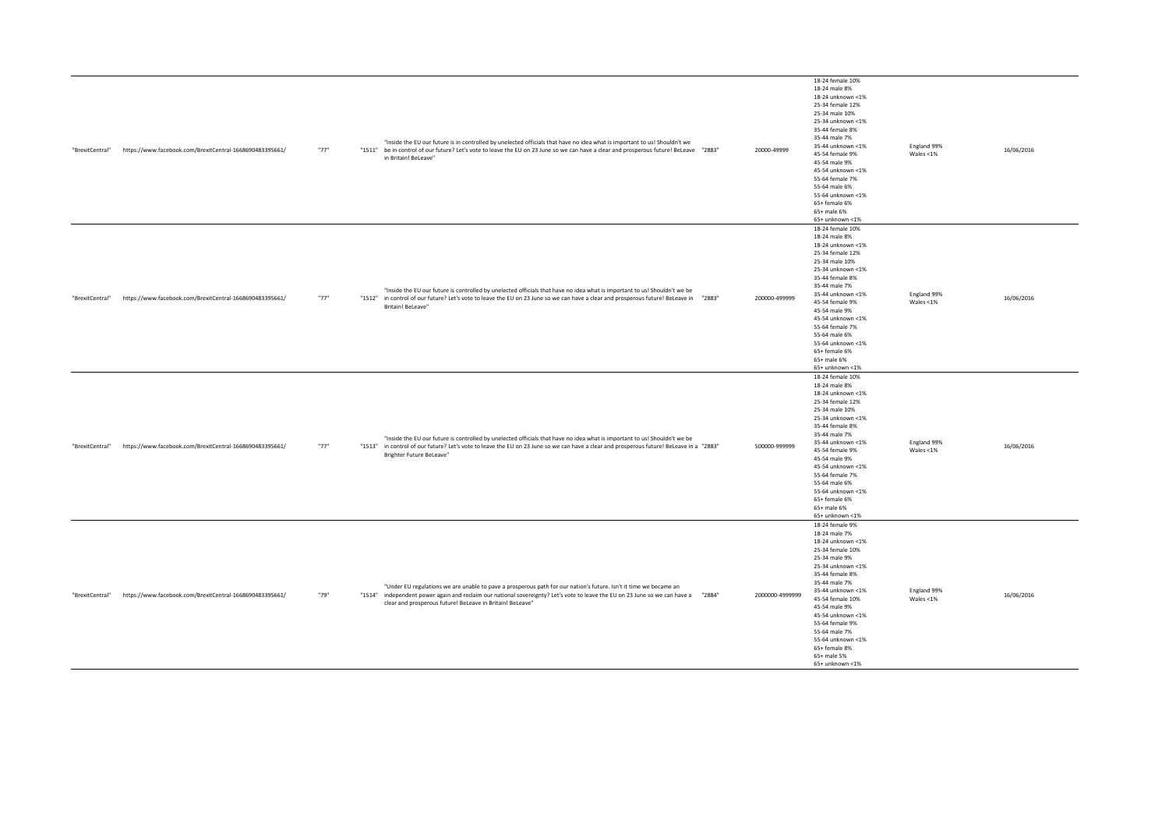| "BrexitCentral" | https://www.facebook.com/BrexitCentral-1668690483395661/ | "77" | "Inside the EU our future is in controlled by unelected officials that have no idea what is important to us! Shouldn't we<br>"1283" be in control of our future? Let's vote to leave the EU on 23 June so we can have a clear and prosperous future! BeLeave "2883"<br>in Britain! BeLeave"                           |        | 20000-49999     | 18-24 female 10%<br>18-24 male 8%<br>18-24 unknown <1%<br>25-34 female 12%<br>25-34 male 10%<br>25-34 unknown <1%<br>35-44 female 8%<br>35-44 male 7%<br>35-44 unknown <1%<br>45-54 female 9%<br>45-54 male 9%<br>45-54 unknown <1%<br>55-64 female 7%<br>55-64 male 6%<br>55-64 unknown <1%<br>65+ female 6%<br>65+ male 6%<br>65+ unknown <1% | England 99%<br>Wales <1%    | 16/06/2016 |
|-----------------|----------------------------------------------------------|------|-----------------------------------------------------------------------------------------------------------------------------------------------------------------------------------------------------------------------------------------------------------------------------------------------------------------------|--------|-----------------|-------------------------------------------------------------------------------------------------------------------------------------------------------------------------------------------------------------------------------------------------------------------------------------------------------------------------------------------------|-----------------------------|------------|
| "BrexitCentral" | https://www.facebook.com/BrexitCentral-1668690483395661/ | "77" | "Inside the EU our future is controlled by unelected officials that have no idea what is important to us! Shouldn't we be<br>"1512" in control of our future? Let's vote to leave the EU on 23 June so we can have a clear and prosperous future! BeLeave in<br>Britain! BeLeave"                                     | "2883" | 200000-499999   | 18-24 female 10%<br>18-24 male 8%<br>18-24 unknown <1%<br>25-34 female 12%<br>25-34 male 10%<br>25-34 unknown <1%<br>35-44 female 8%<br>35-44 male 7%<br>35-44 unknown <1%<br>45-54 female 9%<br>45-54 male 9%<br>45-54 unknown <1%<br>55-64 female 7%<br>55-64 male 6%<br>55-64 unknown <1%<br>65+ female 6%<br>65+ male 6%<br>65+ unknown <1% | England 99%<br>Wales <1%    | 16/06/2016 |
| "BrexitCentral" | https://www.facebook.com/BrexitCentral-1668690483395661/ | "77" | "Inside the EU our future is controlled by unelected officials that have no idea what is important to us! Shouldn't we be<br>"1283" in control of our future? Let's vote to leave the EU on 23 June so we can have a clear and prosperous future! BeLeave in a "2883"<br>Brighter Future BeLeave"                     |        | 500000-999999   | 18-24 female 10%<br>18-24 male 8%<br>18-24 unknown <1%<br>25-34 female 12%<br>25-34 male 10%<br>25-34 unknown <1%<br>35-44 female 8%<br>35-44 male 7%<br>35-44 unknown <1%<br>45-54 female 9%<br>45-54 male 9%<br>45-54 unknown <1%<br>55-64 female 7%<br>55-64 male 6%<br>55-64 unknown <1%<br>65+ female 6%<br>65+ male 6%<br>65+ unknown <1% | England 99%<br>Wales <1%    | 16/06/2016 |
| "BrexitCentral" | https://www.facebook.com/BrexitCentral-1668690483395661/ | "79" | "Under EU regulations we are unable to pave a prosperous path for our nation's future. Isn't it time we became an<br>"12884" independent power again and reclaim our national sovereignty? Let's vote to leave the EU on 23 June so we can have a "2884"<br>clear and prosperous future! BeLeave in Britain! BeLeave" |        | 2000000-4999999 | 18-24 female 9%<br>18-24 male 7%<br>18-24 unknown <1%<br>25-34 female 10%<br>25-34 male 9%<br>25-34 unknown <1%<br>35-44 female 8%<br>35-44 male 7%<br>35-44 unknown <1%<br>45-54 female 10%<br>45-54 male 9%<br>45-54 unknown <1%<br>55-64 female 9%<br>55-64 male 7%<br>55-64 unknown <1%<br>65+ female 8%<br>65+ male 5%<br>65+ unknown <1%  | England 99%<br>Wales $<$ 1% | 16/06/2016 |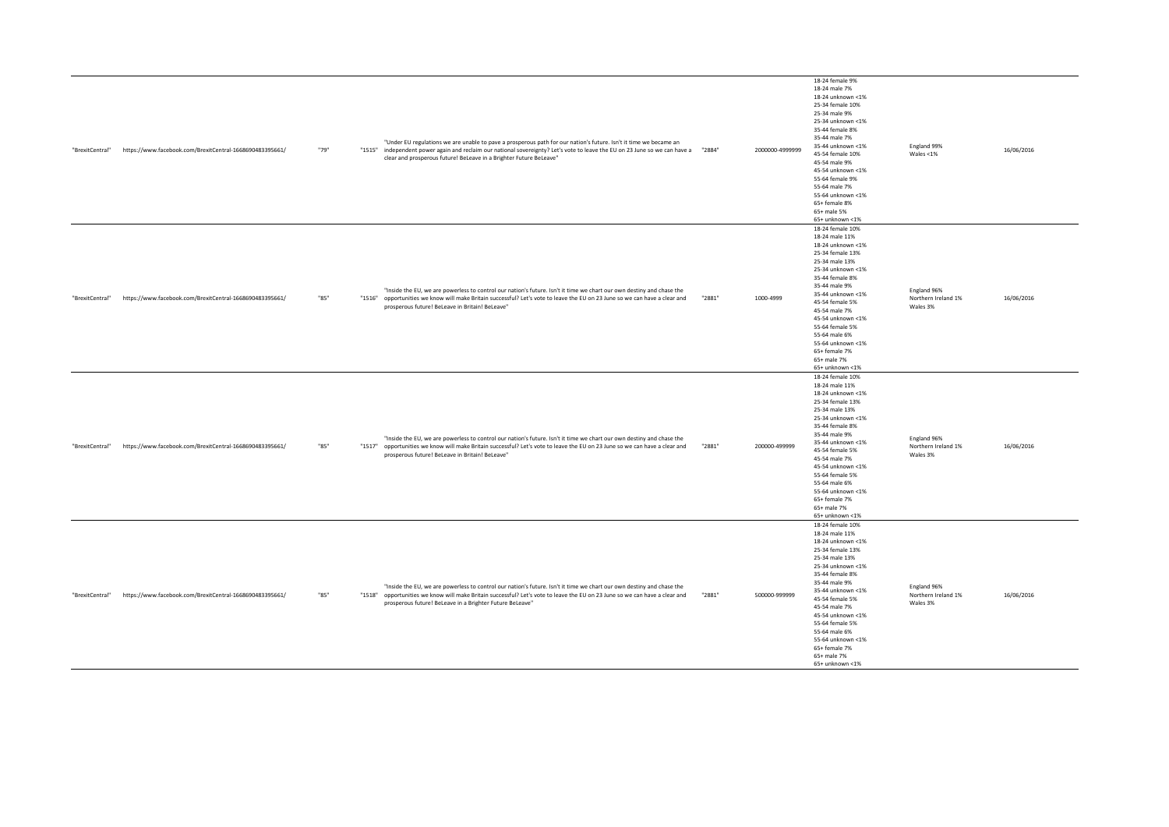| "BrexitCentral" | https://www.facebook.com/BrexitCentral-1668690483395661/ | "79" | "Under EU regulations we are unable to pave a prosperous path for our nation's future. Isn't it time we became an<br>"1515" independent power again and reclaim our national sovereignty? Let's vote to leave the EU on 23 June so we can have a "2884"<br>clear and prosperous future! BeLeave in a Brighter Future BeLeave" |        | 2000000-4999999 | 18-24 female 9%<br>18-24 male 7%<br>18-24 unknown <1%<br>25-34 female 10%<br>25-34 male 9%<br>25-34 unknown <1%<br>35-44 female 8%<br>35-44 male 7%<br>35-44 unknown <1%<br>45-54 female 10%<br>45-54 male 9%<br>45-54 unknown <1%<br>55-64 female 9%<br>55-64 male 7%<br>55-64 unknown <1%<br>65+ female 8%<br>65+ male 5%<br>65+ unknown <1%   | England 99%<br>Wales $<$ 1%                    | 16/06/2016 |
|-----------------|----------------------------------------------------------|------|-------------------------------------------------------------------------------------------------------------------------------------------------------------------------------------------------------------------------------------------------------------------------------------------------------------------------------|--------|-----------------|--------------------------------------------------------------------------------------------------------------------------------------------------------------------------------------------------------------------------------------------------------------------------------------------------------------------------------------------------|------------------------------------------------|------------|
| "BrexitCentral" | https://www.facebook.com/BrexitCentral-1668690483395661/ | "85" | "Inside the EU, we are powerless to control our nation's future. Isn't it time we chart our own destiny and chase the<br>"1516" opportunities we know will make Britain successful? Let's vote to leave the EU on 23 June so we can have a clear and<br>prosperous future! BeLeave in Britain! BeLeave"                       | "2881" | 1000-4999       | 18-24 female 10%<br>18-24 male 11%<br>18-24 unknown <1%<br>25-34 female 13%<br>25-34 male 13%<br>25-34 unknown <1%<br>35-44 female 8%<br>35-44 male 9%<br>35-44 unknown <1%<br>45-54 female 5%<br>45-54 male 7%<br>45-54 unknown <1%<br>55-64 female 5%<br>55-64 male 6%<br>55-64 unknown <1%<br>65+ female 7%<br>65+ male 7%<br>65+ unknown <1% | England 96%<br>Northern Ireland 1%<br>Wales 3% | 16/06/2016 |
| "BrexitCentral" | https://www.facebook.com/BrexitCentral-1668690483395661/ | "85" | "Inside the EU, we are powerless to control our nation's future. Isn't it time we chart our own destiny and chase the<br>"1517" opportunities we know will make Britain successful? Let's vote to leave the EU on 23 June so we can have a clear and<br>prosperous future! BeLeave in Britain! BeLeave"                       | "2881" | 200000-499999   | 18-24 female 10%<br>18-24 male 11%<br>18-24 unknown <1%<br>25-34 female 13%<br>25-34 male 13%<br>25-34 unknown <1%<br>35-44 female 8%<br>35-44 male 9%<br>35-44 unknown <1%<br>45-54 female 5%<br>45-54 male 7%<br>45-54 unknown <1%<br>55-64 female 5%<br>55-64 male 6%<br>55-64 unknown <1%<br>65+ female 7%<br>65+ male 7%<br>65+ unknown <1% | England 96%<br>Northern Ireland 1%<br>Wales 3% | 16/06/2016 |
| "BrexitCentral" | https://www.facebook.com/BrexitCentral-1668690483395661/ | "85" | "Inside the EU, we are powerless to control our nation's future. Isn't it time we chart our own destiny and chase the<br>"1518" opportunities we know will make Britain successful? Let's vote to leave the EU on 23 June so we can have a clear and<br>prosperous future! BeLeave in a Brighter Future BeLeave"              | "2881" | 500000-999999   | 18-24 female 10%<br>18-24 male 11%<br>18-24 unknown <1%<br>25-34 female 13%<br>25-34 male 13%<br>25-34 unknown <1%<br>35-44 female 8%<br>35-44 male 9%<br>35-44 unknown <1%<br>45-54 female 5%<br>45-54 male 7%<br>45-54 unknown <1%<br>55-64 female 5%<br>55-64 male 6%<br>55-64 unknown <1%<br>65+ female 7%<br>65+ male 7%<br>65+ unknown <1% | England 96%<br>Northern Ireland 1%<br>Wales 3% | 16/06/2016 |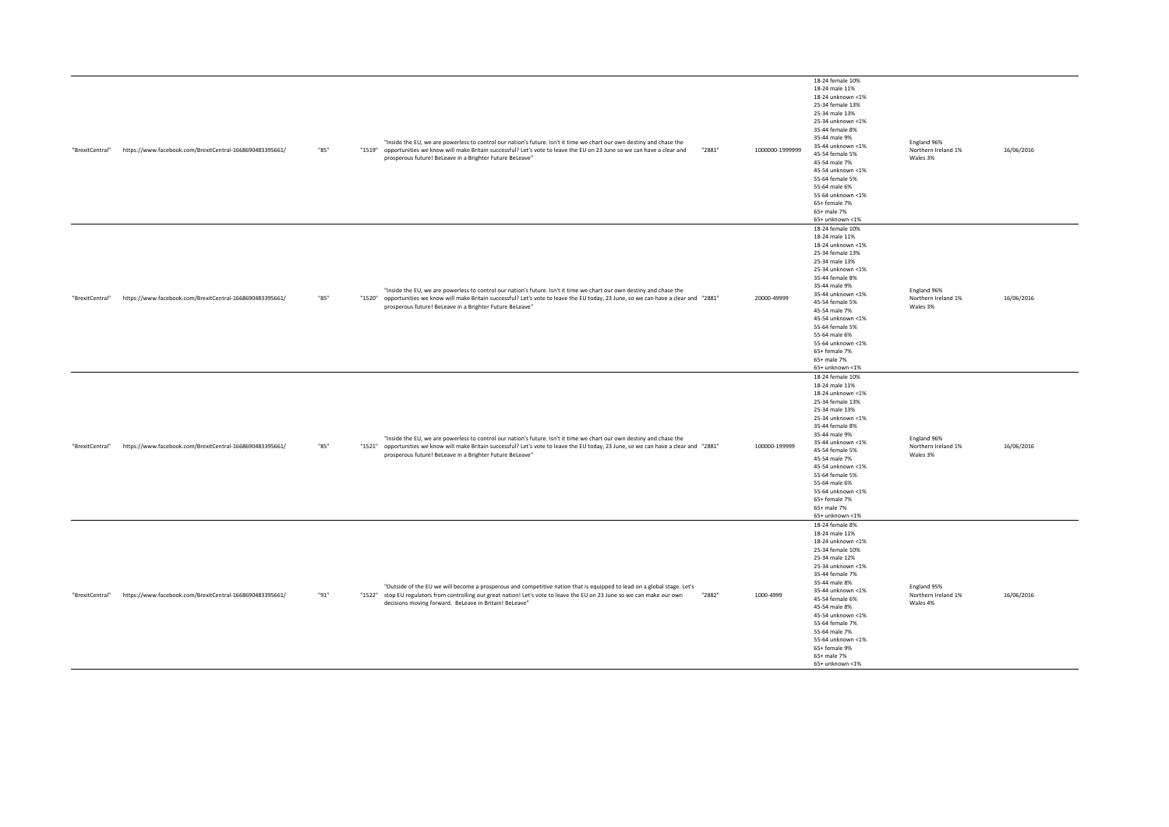| "BrexitCentral" | https://www.facebook.com/BrexitCentral-1668690483395661/ | "85" | "Inside the EU, we are powerless to control our nation's future. Isn't it time we chart our own destiny and chase the<br>"1519" opportunities we know will make Britain successful? Let's vote to leave the EU on 23 June so we can have a clear and<br>prosperous future! BeLeave in a Brighter Future BeLeave"             | "2881" | 1000000-1999999 | 18-24 female 10%<br>18-24 male 11%<br>18-24 unknown <1%<br>25-34 female 13%<br>25-34 male 13%<br>25-34 unknown <1%<br>35-44 female 8%<br>35-44 male 9%<br>35-44 unknown <1%<br>45-54 female 5%<br>45-54 male 7%<br>45-54 unknown <1%<br>55-64 female 5%<br>55-64 male 6%<br>55-64 unknown <1%<br>65+ female 7%<br>65+ male 7%<br>65+ unknown <1% | England 96%<br>Northern Ireland 1%<br>Wales 3% | 16/06/2016 |
|-----------------|----------------------------------------------------------|------|------------------------------------------------------------------------------------------------------------------------------------------------------------------------------------------------------------------------------------------------------------------------------------------------------------------------------|--------|-----------------|--------------------------------------------------------------------------------------------------------------------------------------------------------------------------------------------------------------------------------------------------------------------------------------------------------------------------------------------------|------------------------------------------------|------------|
| "BrexitCentral" | https://www.facebook.com/BrexitCentral-1668690483395661/ | "85" | "Inside the EU, we are powerless to control our nation's future. Isn't it time we chart our own destiny and chase the<br>"1281" opportunities we know will make Britain successful? Let's vote to leave the EU today, 23 June, so we can have a clear and "2881"<br>prosperous future! BeLeave in a Brighter Future BeLeave" |        | 20000-49999     | 18-24 female 10%<br>18-24 male 11%<br>18-24 unknown <1%<br>25-34 female 13%<br>25-34 male 13%<br>25-34 unknown <1%<br>35-44 female 8%<br>35-44 male 9%<br>35-44 unknown <1%<br>45-54 female 5%<br>45-54 male 7%<br>45-54 unknown <1%<br>55-64 female 5%<br>55-64 male 6%<br>55-64 unknown <1%<br>65+ female 7%<br>65+ male 7%<br>65+ unknown <1% | England 96%<br>Northern Ireland 1%<br>Wales 3% | 16/06/2016 |
| "BrexitCentral" | https://www.facebook.com/BrexitCentral-1668690483395661/ | "85" | "Inside the EU, we are powerless to control our nation's future. Isn't it time we chart our own destiny and chase the<br>"1521" opportunities we know will make Britain successful? Let's vote to leave the EU today, 23 June, so we can have a clear and "2881"<br>prosperous future! BeLeave in a Brighter Future BeLeave" |        | 100000-199999   | 18-24 female 10%<br>18-24 male 11%<br>18-24 unknown <1%<br>25-34 female 13%<br>25-34 male 13%<br>25-34 unknown <1%<br>35-44 female 8%<br>35-44 male 9%<br>35-44 unknown <1%<br>45-54 female 5%<br>45-54 male 7%<br>45-54 unknown <1%<br>55-64 female 5%<br>55-64 male 6%<br>55-64 unknown <1%<br>65+ female 7%<br>65+ male 7%<br>65+ unknown <1% | England 96%<br>Northern Ireland 1%<br>Wales 3% | 16/06/2016 |
| "BrexitCentral" | https://www.facebook.com/BrexitCentral-1668690483395661/ | "91" | "Outside of the EU we will become a prosperous and competitive nation that is equipped to lead on a global stage. Let's<br>"1522" stop EU regulators from controlling our great nation! Let's vote to leave the EU on 23 June so we can make our own<br>decisions moving forward. BeLeave in Britain! BeLeave"               | "2882" | 1000-4999       | 18-24 female 8%<br>18-24 male 11%<br>18-24 unknown <1%<br>25-34 female 10%<br>25-34 male 12%<br>25-34 unknown <1%<br>35-44 female 7%<br>35-44 male 8%<br>35-44 unknown <1%<br>45-54 female 6%<br>45-54 male 8%<br>45-54 unknown <1%<br>55-64 female 7%<br>55-64 male 7%<br>55-64 unknown <1%<br>65+ female 9%<br>65+ male 7%<br>65+ unknown <1%  | England 95%<br>Northern Ireland 1%<br>Wales 4% | 16/06/2016 |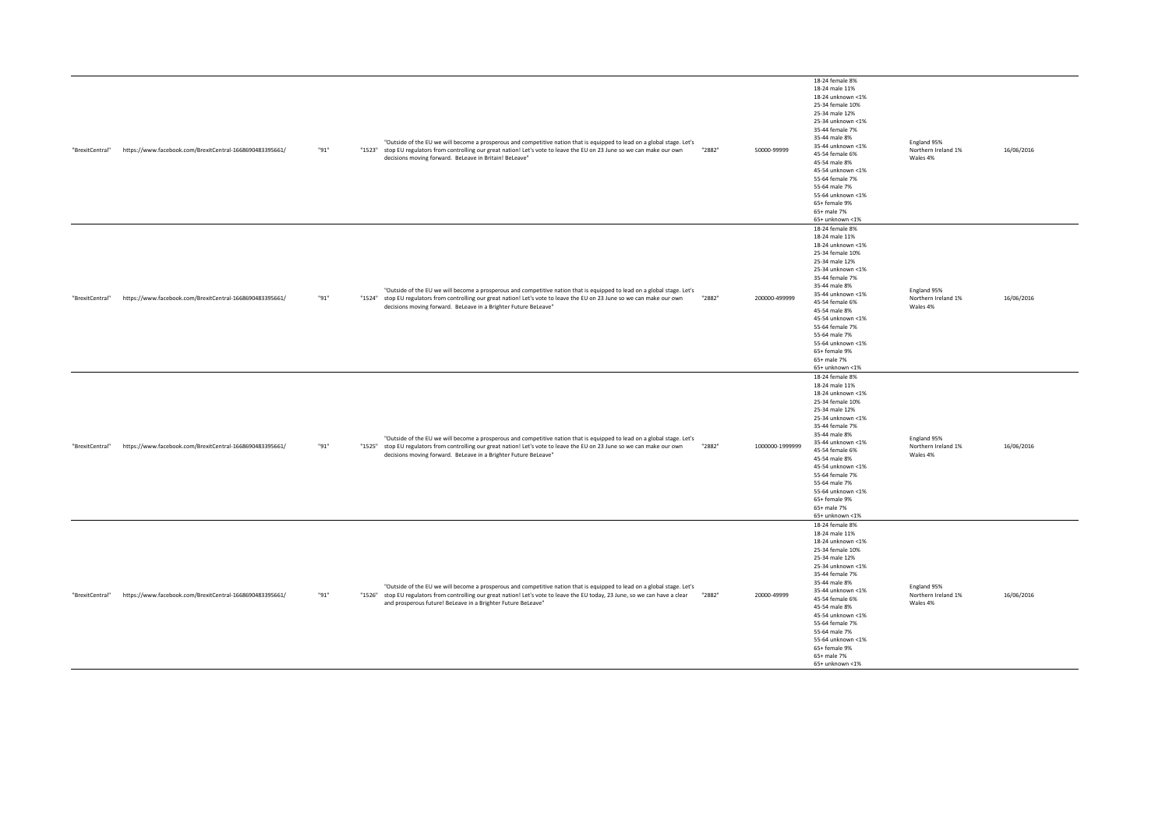| "BrexitCentral" | https://www.facebook.com/BrexitCentral-1668690483395661/ | "91" | "Outside of the EU we will become a prosperous and competitive nation that is equipped to lead on a global stage. Let's<br>"1523" stop EU regulators from controlling our great nation! Let's vote to leave the EU on 23 June so we can make our own                                                                      | "2882" | 50000-99999     | 18-24 female 8%<br>18-24 male 11%<br>18-24 unknown <1%<br>25-34 female 10%<br>25-34 male 12%<br>25-34 unknown <1%<br>35-44 female 7%<br>35-44 male 8%<br>35-44 unknown <1%<br>45-54 female 6%                                                                                                                                                   | England 95%<br>Northern Ireland 1%             | 16/06/2016 |
|-----------------|----------------------------------------------------------|------|---------------------------------------------------------------------------------------------------------------------------------------------------------------------------------------------------------------------------------------------------------------------------------------------------------------------------|--------|-----------------|-------------------------------------------------------------------------------------------------------------------------------------------------------------------------------------------------------------------------------------------------------------------------------------------------------------------------------------------------|------------------------------------------------|------------|
|                 |                                                          |      | decisions moving forward. BeLeave in Britain! BeLeave"                                                                                                                                                                                                                                                                    |        |                 | 45-54 male 8%<br>45-54 unknown <1%<br>55-64 female 7%<br>55-64 male 7%<br>55-64 unknown <1%<br>65+ female 9%<br>65+ male 7%<br>65+ unknown <1%<br>18-24 female 8%                                                                                                                                                                               | Wales 4%                                       |            |
| "BrexitCentral" | https://www.facebook.com/BrexitCentral-1668690483395661/ | "91" | "Outside of the EU we will become a prosperous and competitive nation that is equipped to lead on a global stage. Let's<br>"1524" stop EU regulators from controlling our great nation! Let's vote to leave the EU on 23 June so we can make our own<br>decisions moving forward. BeLeave in a Brighter Future BeLeave"   | "2882" | 200000-499999   | 18-24 male 11%<br>18-24 unknown <1%<br>25-34 female 10%<br>25-34 male 12%<br>25-34 unknown <1%<br>35-44 female 7%<br>35-44 male 8%<br>35-44 unknown <1%<br>45-54 female 6%<br>45-54 male 8%<br>45-54 unknown <1%<br>55-64 female 7%<br>55-64 male 7%<br>55-64 unknown <1%<br>65+ female 9%<br>65+ male 7%<br>65+ unknown <1%                    | England 95%<br>Northern Ireland 1%<br>Wales 4% | 16/06/2016 |
| "BrexitCentral" | https://www.facebook.com/BrexitCentral-1668690483395661/ | "91" | "Outside of the EU we will become a prosperous and competitive nation that is equipped to lead on a global stage. Let's<br>"1525" stop EU regulators from controlling our great nation! Let's vote to leave the EU on 23 June so we can make our own<br>decisions moving forward. BeLeave in a Brighter Future BeLeave"   | "2882" | 1000000-1999999 | 18-24 female 8%<br>18-24 male 11%<br>18-24 unknown <1%<br>25-34 female 10%<br>25-34 male 12%<br>25-34 unknown <1%<br>35-44 female 7%<br>35-44 male 8%<br>35-44 unknown <1%<br>45-54 female 6%<br>45-54 male 8%<br>45-54 unknown <1%<br>55-64 female 7%<br>55-64 male 7%<br>55-64 unknown <1%<br>65+ female 9%<br>65+ male 7%<br>65+ unknown <1% | England 95%<br>Northern Ireland 1%<br>Wales 4% | 16/06/2016 |
| "BrexitCentral" | https://www.facebook.com/BrexitCentral-1668690483395661/ | "91" | "Outside of the EU we will become a prosperous and competitive nation that is equipped to lead on a global stage. Let's<br>"1526" stop EU regulators from controlling our great nation! Let's vote to leave the EU today, 23 June, so we can have a clear<br>and prosperous future! BeLeave in a Brighter Future BeLeave" | "2882" | 20000-49999     | 18-24 female 8%<br>18-24 male 11%<br>18-24 unknown <1%<br>25-34 female 10%<br>25-34 male 12%<br>25-34 unknown <1%<br>35-44 female 7%<br>35-44 male 8%<br>35-44 unknown <1%<br>45-54 female 6%<br>45-54 male 8%<br>45-54 unknown <1%<br>55-64 female 7%<br>55-64 male 7%<br>55-64 unknown <1%<br>65+ female 9%<br>65+ male 7%<br>65+ unknown <1% | England 95%<br>Northern Ireland 1%<br>Wales 4% | 16/06/2016 |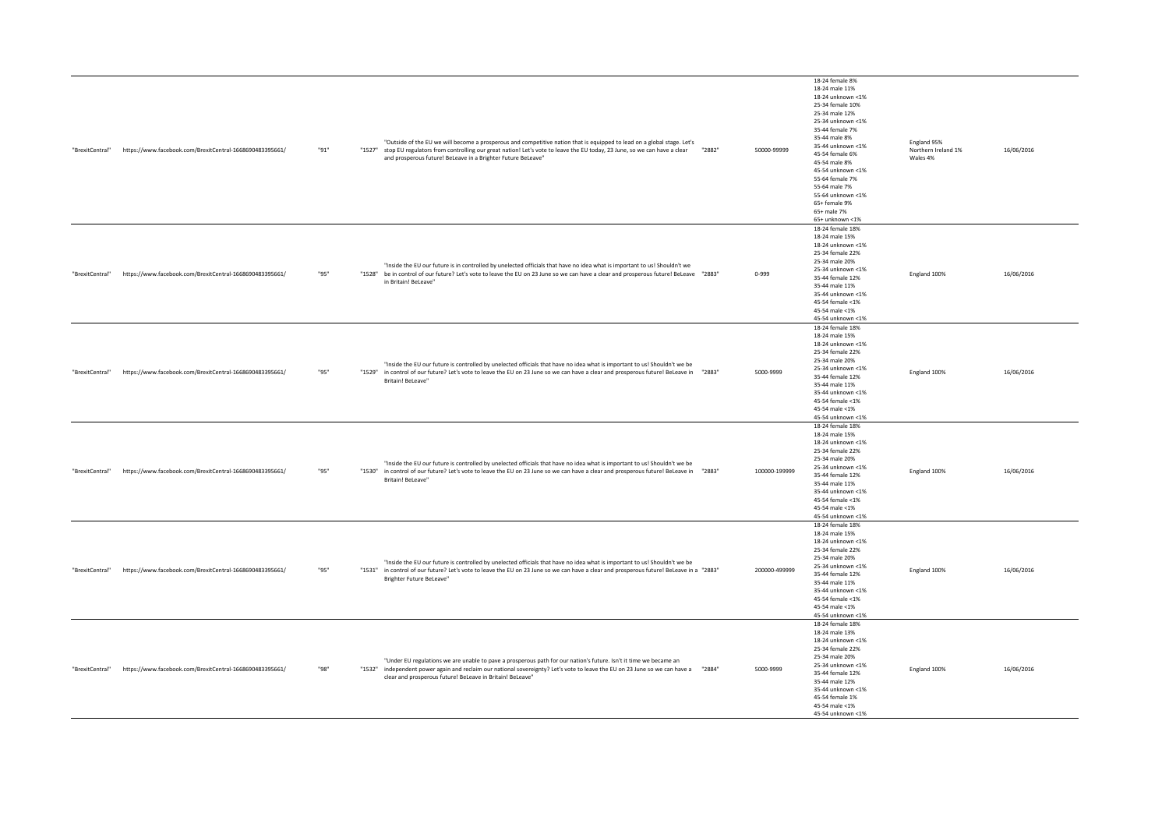| "BrexitCentral" | https://www.facebook.com/BrexitCentral-1668690483395661/ | "91" | "Outside of the EU we will become a prosperous and competitive nation that is equipped to lead on a global stage. Let's<br>"1527" stop EU regulators from controlling our great nation! Let's vote to leave the EU today, 23 June, so we can have a clear<br>and prosperous future! BeLeave in a Brighter Future BeLeave" | "2882" | 50000-99999   | 18-24 female 8%<br>18-24 male 11%<br>18-24 unknown <1%<br>25-34 female 10%<br>25-34 male 12%<br>25-34 unknown <1%<br>35-44 female 7%<br>35-44 male 8%<br>35-44 unknown <1%<br>45-54 female 6%<br>45-54 male 8%<br>45-54 unknown <1%<br>55-64 female 7%<br>55-64 male 7%<br>55-64 unknown <1%<br>65+ female 9%<br>65+ male 7%<br>65+ unknown <1% | England 95%<br>Northern Ireland 1%<br>Wales 4% | 16/06/2016 |
|-----------------|----------------------------------------------------------|------|---------------------------------------------------------------------------------------------------------------------------------------------------------------------------------------------------------------------------------------------------------------------------------------------------------------------------|--------|---------------|-------------------------------------------------------------------------------------------------------------------------------------------------------------------------------------------------------------------------------------------------------------------------------------------------------------------------------------------------|------------------------------------------------|------------|
| "BrexitCentral" | https://www.facebook.com/BrexitCentral-1668690483395661/ | "95" | "Inside the EU our future is in controlled by unelected officials that have no idea what is important to us! Shouldn't we<br>"1288" be in control of our future? Let's vote to leave the EU on 23 June so we can have a clear and prosperous future! BeLeave "2883"<br>in Britain! BeLeave"                               |        | $0 - 999$     | 18-24 female 18%<br>18-24 male 15%<br>18-24 unknown <1%<br>25-34 female 22%<br>25-34 male 20%<br>25-34 unknown <1%<br>35-44 female 12%<br>35-44 male 11%<br>35-44 unknown <1%<br>45-54 female <1%<br>45-54 male <1%<br>45-54 unknown <1%                                                                                                        | England 100%                                   | 16/06/2016 |
| "BrexitCentral" | https://www.facebook.com/BrexitCentral-1668690483395661/ | "95" | "Inside the EU our future is controlled by unelected officials that have no idea what is important to us! Shouldn't we be<br>"1529" in control of our future? Let's vote to leave the EU on 23 June so we can have a clear and prosperous future! BeLeave in<br>Britain! BeLeave"                                         | "2883" | 5000-9999     | 18-24 female 18%<br>18-24 male 15%<br>18-24 unknown <1%<br>25-34 female 22%<br>25-34 male 20%<br>25-34 unknown <1%<br>35-44 female 12%<br>35-44 male 11%<br>35-44 unknown <1%<br>45-54 female <1%<br>45-54 male <1%<br>45-54 unknown <1%                                                                                                        | England 100%                                   | 16/06/2016 |
| "BrexitCentral" | https://www.facebook.com/BrexitCentral-1668690483395661/ | "95" | "Inside the EU our future is controlled by unelected officials that have no idea what is important to us! Shouldn't we be<br>"1530" in control of our future? Let's vote to leave the EU on 23 June so we can have a clear and prosperous future! BeLeave in<br>Britain! BeLeave"                                         | "2883" | 100000-199999 | 18-24 female 18%<br>18-24 male 15%<br>18-24 unknown <1%<br>25-34 female 22%<br>25-34 male 20%<br>25-34 unknown <1%<br>35-44 female 12%<br>35-44 male 11%<br>35-44 unknown <1%<br>45-54 female <1%<br>45-54 male <1%<br>45-54 unknown <1%                                                                                                        | England 100%                                   | 16/06/2016 |
| "BrexitCentral" | https://www.facebook.com/BrexitCentral-1668690483395661/ | "95" | "Inside the EU our future is controlled by unelected officials that have no idea what is important to us! Shouldn't we be<br>"1283" in control of our future? Let's vote to leave the EU on 23 June so we can have a clear and prosperous future! BeLeave in a "2883"<br>Brighter Future BeLeave"                         |        | 200000-499999 | 18-24 female 18%<br>18-24 male 15%<br>18-24 unknown <1%<br>25-34 female 22%<br>25-34 male 20%<br>25-34 unknown <1%<br>35-44 female 12%<br>35-44 male 11%<br>35-44 unknown <1%<br>45-54 female <1%<br>45-54 male <1%<br>45-54 unknown <1%                                                                                                        | England 100%                                   | 16/06/2016 |
| "BrexitCentral" | https://www.facebook.com/BrexitCentral-1668690483395661/ | "98" | "Under EU regulations we are unable to pave a prosperous path for our nation's future. Isn't it time we became an<br>"1884" independent power again and reclaim our national sovereignty? Let's vote to leave the EU on 23 June so we can have a "2884"<br>clear and prosperous future! BeLeave in Britain! BeLeave"      |        | 5000-9999     | 18-24 female 18%<br>18-24 male 13%<br>18-24 unknown <1%<br>25-34 female 22%<br>25-34 male 20%<br>25-34 unknown <1%<br>35-44 female 12%<br>35-44 male 12%<br>35-44 unknown <1%<br>45-54 female 1%<br>45-54 male <1%<br>45-54 unknown <1%                                                                                                         | England 100%                                   | 16/06/2016 |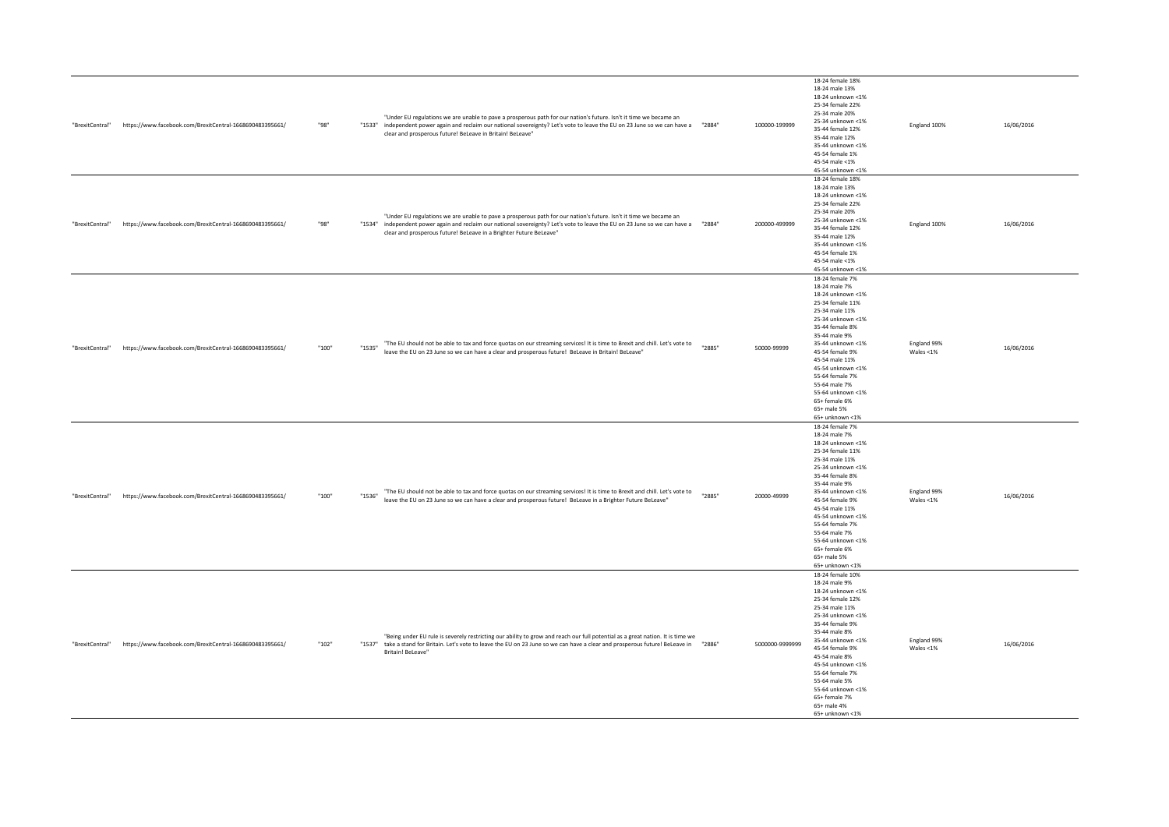| "BrexitCentral" | https://www.facebook.com/BrexitCentral-1668690483395661/ | "98"  | "Under EU regulations we are unable to pave a prosperous path for our nation's future. Isn't it time we became an<br>"12884" independent power again and reclaim our national sovereignty? Let's vote to leave the EU on 23 June so we can have a "2884"<br>clear and prosperous future! BeLeave in Britain! BeLeave"         |        | 100000-199999   | 18-24 female 18%<br>18-24 male 13%<br>18-24 unknown <1%<br>25-34 female 22%<br>25-34 male 20%<br>25-34 unknown <1%<br>35-44 female 12%<br>35-44 male 12%<br>35-44 unknown <1%<br>45-54 female 1%<br>45-54 male <1%<br>45-54 unknown <1%                                                                                                         | England 100%                | 16/06/2016 |
|-----------------|----------------------------------------------------------|-------|-------------------------------------------------------------------------------------------------------------------------------------------------------------------------------------------------------------------------------------------------------------------------------------------------------------------------------|--------|-----------------|-------------------------------------------------------------------------------------------------------------------------------------------------------------------------------------------------------------------------------------------------------------------------------------------------------------------------------------------------|-----------------------------|------------|
| "BrexitCentral" | https://www.facebook.com/BrexitCentral-1668690483395661/ | "98"  | "Under EU regulations we are unable to pave a prosperous path for our nation's future. Isn't it time we became an<br>"1284" independent power again and reclaim our national sovereignty? Let's vote to leave the EU on 23 June so we can have a "2884"<br>clear and prosperous future! BeLeave in a Brighter Future BeLeave" |        | 200000-499999   | 18-24 female 18%<br>18-24 male 13%<br>18-24 unknown <1%<br>25-34 female 22%<br>25-34 male 20%<br>25-34 unknown <1%<br>35-44 female 12%<br>35-44 male 12%<br>35-44 unknown <1%<br>45-54 female 1%<br>45-54 male <1%<br>45-54 unknown <1%                                                                                                         | England 100%                | 16/06/2016 |
| "BrexitCentral" | https://www.facebook.com/BrexitCentral-1668690483395661/ | "100" | "The EU should not be able to tax and force quotas on our streaming services! It is time to Brexit and chill. Let's vote to<br>"1535"<br>leave the EU on 23 June so we can have a clear and prosperous future! BeLeave in Britain! BeLeave"                                                                                   | "2885" | 50000-99999     | 18-24 female 7%<br>18-24 male 7%<br>18-24 unknown <1%<br>25-34 female 11%<br>25-34 male 11%<br>25-34 unknown <1%<br>35-44 female 8%<br>35-44 male 9%<br>35-44 unknown <1%<br>45-54 female 9%<br>45-54 male 11%<br>45-54 unknown <1%<br>55-64 female 7%<br>55-64 male 7%<br>55-64 unknown <1%<br>65+ female 6%<br>65+ male 5%<br>65+ unknown <1% | England 99%<br>Wales <1%    | 16/06/2016 |
| "BrexitCentral" | https://www.facebook.com/BrexitCentral-1668690483395661/ | "100" | "The EU should not be able to tax and force quotas on our streaming services! It is time to Brexit and chill. Let's vote to<br>"1536"<br>leave the EU on 23 June so we can have a clear and prosperous future! BeLeave in a Brighter Future BeLeave"                                                                          | "2885" | 20000-49999     | 18-24 female 7%<br>18-24 male 7%<br>18-24 unknown <1%<br>25-34 female 11%<br>25-34 male 11%<br>25-34 unknown <1%<br>35-44 female 8%<br>35-44 male 9%<br>35-44 unknown <1%<br>45-54 female 9%<br>45-54 male 11%<br>45-54 unknown <1%<br>55-64 female 7%<br>55-64 male 7%<br>55-64 unknown <1%<br>65+ female 6%<br>65+ male 5%<br>65+ unknown <1% | England 99%<br>Wales $<$ 1% | 16/06/2016 |
| "BrexitCentral" | https://www.facebook.com/BrexitCentral-1668690483395661/ | "102" | "Being under EU rule is severely restricting our ability to grow and reach our full potential as a great nation. It is time we<br>"2886" take a stand for Britain. Let's vote to leave the EU on 23 June so we can have a clear and prosperous future! BeLeave in "2886"<br>Britain! BeLeave"                                 |        | 5000000-9999999 | 18-24 female 10%<br>18-24 male 9%<br>18-24 unknown <1%<br>25-34 female 12%<br>25-34 male 11%<br>25-34 unknown <1%<br>35-44 female 9%<br>35-44 male 8%<br>35-44 unknown <1%<br>45-54 female 9%<br>45-54 male 8%<br>45-54 unknown <1%<br>55-64 female 7%<br>55-64 male 5%<br>55-64 unknown <1%<br>65+ female 7%<br>65+ male 4%<br>65+ unknown <1% | England 99%<br>Wales <1%    | 16/06/2016 |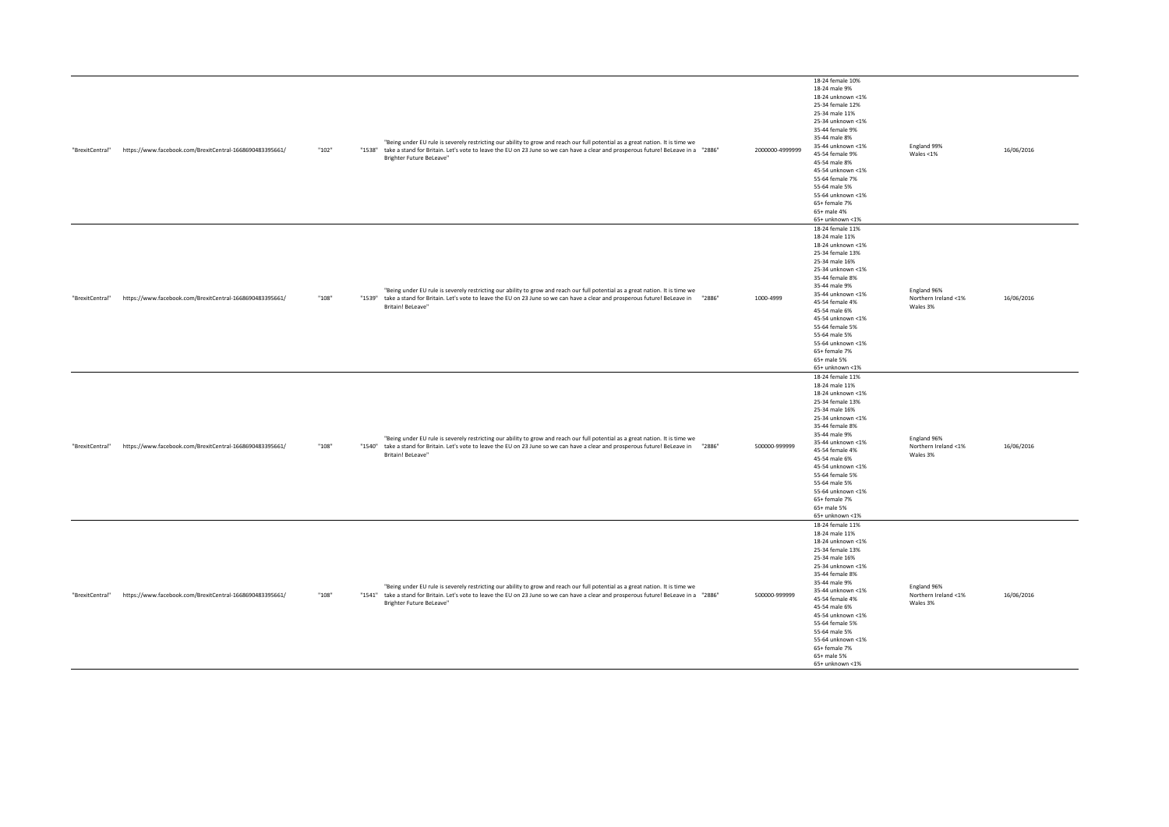| "BrexitCentral" | https://www.facebook.com/BrexitCentral-1668690483395661/ | "102"   | "Being under EU rule is severely restricting our ability to grow and reach our full potential as a great nation. It is time we<br>"1288" take a stand for Britain. Let's vote to leave the EU on 23 June so we can have a clear and prosperous future! BeLeave in a "2886"<br>Brighter Future BeLeave" | 2000000-4999999 | 18-24 female 10%<br>18-24 male 9%<br>18-24 unknown <1%<br>25-34 female 12%<br>25-34 male 11%<br>25-34 unknown <1%<br>35-44 female 9%<br>35-44 male 8%<br>35-44 unknown <1%<br>45-54 female 9%<br>45-54 male 8%<br>45-54 unknown <1%<br>55-64 female 7%<br>55-64 male 5%<br>55-64 unknown <1%<br>65+ female 7%<br>65+ male 4%<br>65+ unknown <1%  | England 99%<br>Wales <1%                        | 16/06/2016 |
|-----------------|----------------------------------------------------------|---------|--------------------------------------------------------------------------------------------------------------------------------------------------------------------------------------------------------------------------------------------------------------------------------------------------------|-----------------|--------------------------------------------------------------------------------------------------------------------------------------------------------------------------------------------------------------------------------------------------------------------------------------------------------------------------------------------------|-------------------------------------------------|------------|
| "BrexitCentral" | https://www.facebook.com/BrexitCentral-1668690483395661/ | $"108"$ | "Being under EU rule is severely restricting our ability to grow and reach our full potential as a great nation. It is time we<br>"1288" take a stand for Britain. Let's vote to leave the EU on 23 June so we can have a clear and prosperous future! BeLeave in "2886"<br>Britain! BeLeave"          | 1000-4999       | 18-24 female 11%<br>18-24 male 11%<br>18-24 unknown <1%<br>25-34 female 13%<br>25-34 male 16%<br>25-34 unknown <1%<br>35-44 female 8%<br>35-44 male 9%<br>35-44 unknown <1%<br>45-54 female 4%<br>45-54 male 6%<br>45-54 unknown <1%<br>55-64 female 5%<br>55-64 male 5%<br>55-64 unknown <1%<br>65+ female 7%<br>65+ male 5%<br>65+ unknown <1% | England 96%<br>Northern Ireland <1%<br>Wales 3% | 16/06/2016 |
| "BrexitCentral" | https://www.facebook.com/BrexitCentral-1668690483395661/ | "108"   | "Being under EU rule is severely restricting our ability to grow and reach our full potential as a great nation. It is time we<br>"1540" take a stand for Britain. Let's vote to leave the EU on 23 June so we can have a clear and prosperous future! BeLeave in "2886"<br>Britain! BeLeave"          | 500000-999999   | 18-24 female 11%<br>18-24 male 11%<br>18-24 unknown <1%<br>25-34 female 13%<br>25-34 male 16%<br>25-34 unknown <1%<br>35-44 female 8%<br>35-44 male 9%<br>35-44 unknown <1%<br>45-54 female 4%<br>45-54 male 6%<br>45-54 unknown <1%<br>55-64 female 5%<br>55-64 male 5%<br>55-64 unknown <1%<br>65+ female 7%<br>65+ male 5%<br>65+ unknown <1% | England 96%<br>Northern Ireland <1%<br>Wales 3% | 16/06/2016 |
| "BrexitCentral" | https://www.facebook.com/BrexitCentral-1668690483395661/ | "108"   | "Being under EU rule is severely restricting our ability to grow and reach our full potential as a great nation. It is time we<br>"1286" take a stand for Britain. Let's vote to leave the EU on 23 June so we can have a clear and prosperous future! BeLeave in a "2886"<br>Brighter Future BeLeave" | 500000-999999   | 18-24 female 11%<br>18-24 male 11%<br>18-24 unknown <1%<br>25-34 female 13%<br>25-34 male 16%<br>25-34 unknown <1%<br>35-44 female 8%<br>35-44 male 9%<br>35-44 unknown <1%<br>45-54 female 4%<br>45-54 male 6%<br>45-54 unknown <1%<br>55-64 female 5%<br>55-64 male 5%<br>55-64 unknown <1%<br>65+ female 7%<br>65+ male 5%<br>65+ unknown <1% | England 96%<br>Northern Ireland <1%<br>Wales 3% | 16/06/2016 |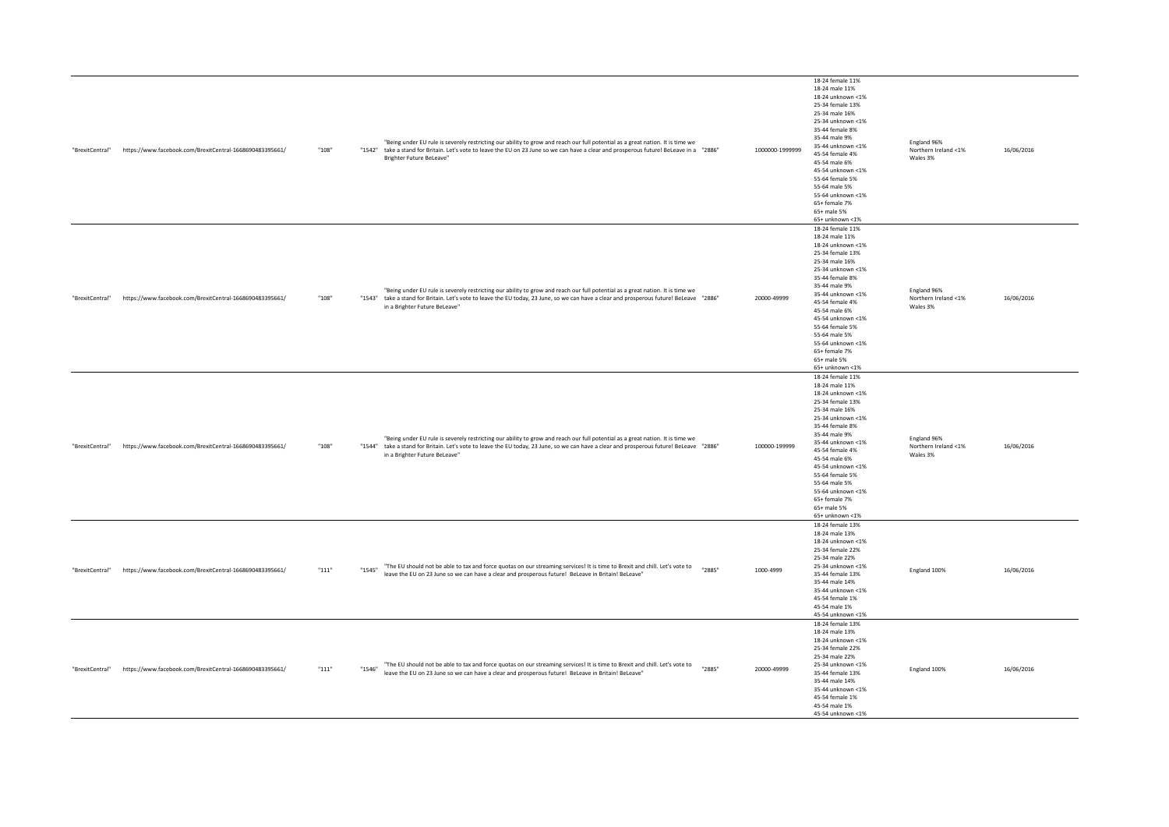| "BrexitCentral" | https://www.facebook.com/BrexitCentral-1668690483395661/ | "108"   | "Being under EU rule is severely restricting our ability to grow and reach our full potential as a great nation. It is time we<br>"1842" take a stand for Britain. Let's vote to leave the EU on 23 June so we can have a clear and prosperous future! BeLeave in a "2886"<br>Brighter Future BeLeave"      | 1000000-1999999 | 18-24 female 11%<br>18-24 male 11%<br>18-24 unknown <1%<br>25-34 female 13%<br>25-34 male 16%<br>25-34 unknown <1%<br>35-44 female 8%<br>35-44 male 9%<br>35-44 unknown <1%<br>45-54 female 4%<br>45-54 male 6%<br>45-54 unknown <1%<br>55-64 female 5%<br>55-64 male 5%<br>55-64 unknown <1%<br>65+ female 7%<br>65+ male 5%                                       | England 96%<br>Northern Ireland <1%<br>Wales 3% | 16/06/2016 |
|-----------------|----------------------------------------------------------|---------|-------------------------------------------------------------------------------------------------------------------------------------------------------------------------------------------------------------------------------------------------------------------------------------------------------------|-----------------|---------------------------------------------------------------------------------------------------------------------------------------------------------------------------------------------------------------------------------------------------------------------------------------------------------------------------------------------------------------------|-------------------------------------------------|------------|
| "BrexitCentral" | https://www.facebook.com/BrexitCentral-1668690483395661/ | "108"   | "Being under EU rule is severely restricting our ability to grow and reach our full potential as a great nation. It is time we<br>"1843" take a stand for Britain. Let's vote to leave the EU today, 23 June, so we can have a clear and prosperous future! BeLeave "2886"<br>in a Brighter Future BeLeave" | 20000-49999     | 65+ unknown <1%<br>18-24 female 11%<br>18-24 male 11%<br>18-24 unknown <1%<br>25-34 female 13%<br>25-34 male 16%<br>25-34 unknown <1%<br>35-44 female 8%<br>35-44 male 9%<br>35-44 unknown <1%<br>45-54 female 4%<br>45-54 male 6%<br>45-54 unknown <1%<br>55-64 female 5%<br>55-64 male 5%<br>55-64 unknown <1%<br>65+ female 7%<br>65+ male 5%<br>65+ unknown <1% | England 96%<br>Northern Ireland <1%<br>Wales 3% | 16/06/2016 |
| "BrexitCentral" | https://www.facebook.com/BrexitCentral-1668690483395661/ | "108"   | "Being under EU rule is severely restricting our ability to grow and reach our full potential as a great nation. It is time we<br>"1544" take a stand for Britain. Let's vote to leave the EU today, 23 June, so we can have a clear and prosperous future! BeLeave "2886"<br>in a Brighter Future BeLeave" | 100000-199999   | 18-24 female 11%<br>18-24 male 11%<br>18-24 unknown <1%<br>25-34 female 13%<br>25-34 male 16%<br>25-34 unknown <1%<br>35-44 female 8%<br>35-44 male 9%<br>35-44 unknown <1%<br>45-54 female 4%<br>45-54 male 6%<br>45-54 unknown <1%<br>55-64 female 5%<br>55-64 male 5%<br>55-64 unknown <1%<br>65+ female 7%<br>65+ male 5%<br>65+ unknown <1%                    | England 96%<br>Northern Ireland <1%<br>Wales 3% | 16/06/2016 |
| "BrexitCentral" | https://www.facebook.com/BrexitCentral-1668690483395661/ | $"111"$ | "The EU should not be able to tax and force quotas on our streaming services! It is time to Brexit and chill. Let's vote to<br>"2885"<br>"1545"<br>leave the EU on 23 June so we can have a clear and prosperous future! BeLeave in Britain! BeLeave"                                                       | 1000-4999       | 18-24 female 13%<br>18-24 male 13%<br>18-24 unknown <1%<br>25-34 female 22%<br>25-34 male 22%<br>25-34 unknown <1%<br>35-44 female 13%<br>35-44 male 14%<br>35-44 unknown <1%<br>45-54 female 1%<br>45-54 male 1%<br>45-54 unknown <1%                                                                                                                              | England 100%                                    | 16/06/2016 |
| "BrexitCentral" | https://www.facebook.com/BrexitCentral-1668690483395661/ | $"111"$ | "The EU should not be able to tax and force quotas on our streaming services! It is time to Brexit and chill. Let's vote to<br>"2885"<br>"1546"<br>leave the EU on 23 June so we can have a clear and prosperous future! BeLeave in Britain! BeLeave"                                                       | 20000-49999     | 18-24 female 13%<br>18-24 male 13%<br>18-24 unknown <1%<br>25-34 female 22%<br>25-34 male 22%<br>25-34 unknown <1%<br>35-44 female 13%<br>35-44 male 14%<br>35-44 unknown <1%<br>45-54 female 1%<br>45-54 male 1%<br>45-54 unknown <1%                                                                                                                              | England 100%                                    | 16/06/2016 |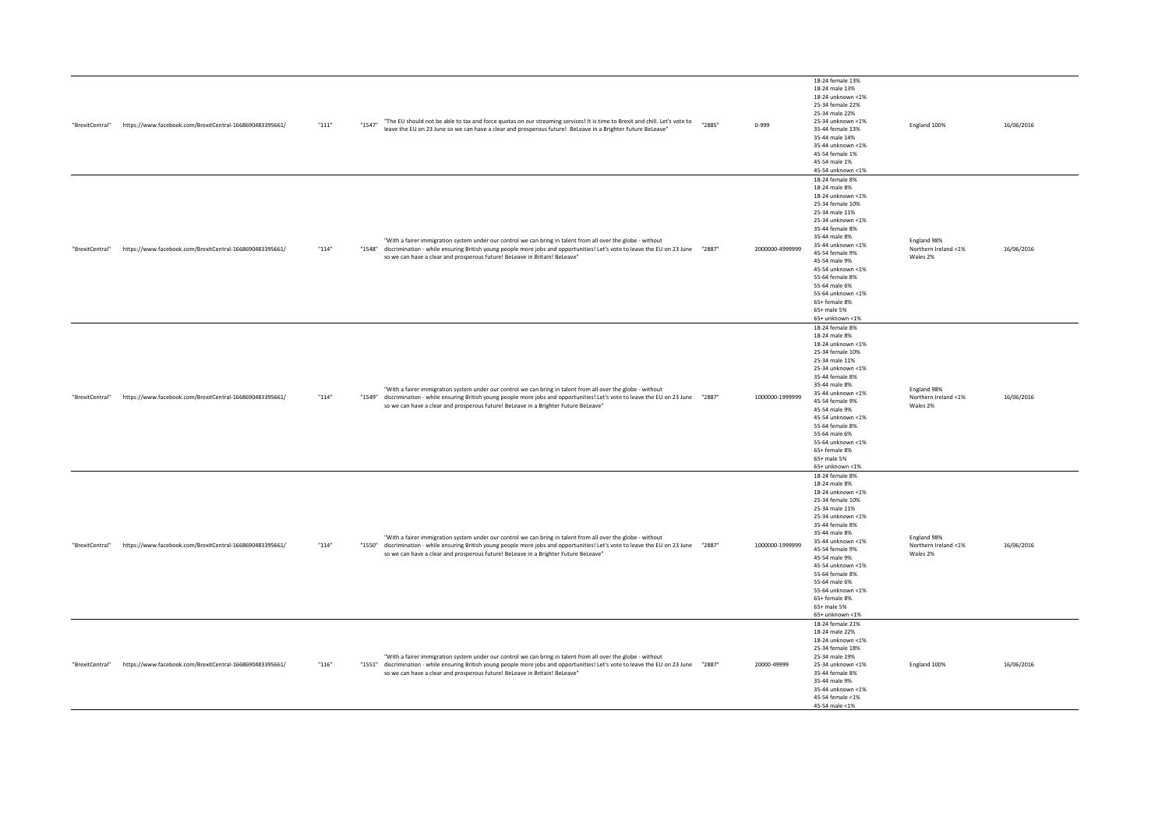| "BrexitCentral" | https://www.facebook.com/BrexitCentral-1668690483395661/ | $"111"$ | "The EU should not be able to tax and force quotas on our streaming services! It is time to Brexit and chill. Let's vote to<br>"1547"<br>leave the EU on 23 June so we can have a clear and prosperous future! BeLeave in a Brighter Future BeLeave"                                                                                         | "2885" | $0 - 999$       | 18-24 female 13%<br>18-24 male 13%<br>18-24 unknown <1%<br>25-34 female 22%<br>25-34 male 22%<br>25-34 unknown <1%<br>35-44 female 13%<br>35-44 male 14%<br>35-44 unknown <1%<br>45-54 female 1%<br>45-54 male 1%<br>45-54 unknown <1%                                                                                                         | England 100%                                    | 16/06/2016 |
|-----------------|----------------------------------------------------------|---------|----------------------------------------------------------------------------------------------------------------------------------------------------------------------------------------------------------------------------------------------------------------------------------------------------------------------------------------------|--------|-----------------|------------------------------------------------------------------------------------------------------------------------------------------------------------------------------------------------------------------------------------------------------------------------------------------------------------------------------------------------|-------------------------------------------------|------------|
| "BrexitCentral" | https://www.facebook.com/BrexitCentral-1668690483395661/ | "114"   | "With a fairer immigration system under our control we can bring in talent from all over the globe - without<br>"1288" discrimination - while ensuring British young people more jobs and opportunities! Let's vote to leave the EU on 23 June "2887"<br>so we can have a clear and prosperous future! BeLeave in Britain! BeLeave"          |        | 2000000-4999999 | 18-24 female 8%<br>18-24 male 8%<br>18-24 unknown <1%<br>25-34 female 10%<br>25-34 male 11%<br>25-34 unknown <1%<br>35-44 female 8%<br>35-44 male 8%<br>35-44 unknown <1%<br>45-54 female 9%<br>45-54 male 9%<br>45-54 unknown <1%<br>55-64 female 8%<br>55-64 male 6%<br>55-64 unknown <1%<br>65+ female 8%<br>65+ male 5%<br>65+ unknown <1% | England 98%<br>Northern Ireland <1%<br>Wales 2% | 16/06/2016 |
| "BrexitCentral" | https://www.facebook.com/BrexitCentral-1668690483395661/ | "114"   | "With a fairer immigration system under our control we can bring in talent from all over the globe - without<br>"1287" discrimination - while ensuring British young people more jobs and opportunities! Let's vote to leave the EU on 23 June "2887"<br>so we can have a clear and prosperous future! BeLeave in a Brighter Future BeLeave" |        | 1000000-1999999 | 18-24 female 8%<br>18-24 male 8%<br>18-24 unknown <1%<br>25-34 female 10%<br>25-34 male 11%<br>25-34 unknown <1%<br>35-44 female 8%<br>35-44 male 8%<br>35-44 unknown <1%<br>45-54 female 9%<br>45-54 male 9%<br>45-54 unknown <1%<br>55-64 female 8%<br>55-64 male 6%<br>55-64 unknown <1%<br>65+ female 8%<br>65+ male 5%<br>65+ unknown <1% | England 98%<br>Northern Ireland <1%<br>Wales 2% | 16/06/2016 |
| "BrexitCentral" | https://www.facebook.com/BrexitCentral-1668690483395661/ | "114"   | "With a fairer immigration system under our control we can bring in talent from all over the globe - without<br>"1287" discrimination - while ensuring British young people more jobs and opportunities! Let's vote to leave the EU on 23 June "2887"<br>so we can have a clear and prosperous future! BeLeave in a Brighter Future BeLeave" |        | 1000000-1999999 | 18-24 female 8%<br>18-24 male 8%<br>18-24 unknown <1%<br>25-34 female 10%<br>25-34 male 11%<br>25-34 unknown <1%<br>35-44 female 8%<br>35-44 male 8%<br>35-44 unknown <1%<br>45-54 female 9%<br>45-54 male 9%<br>45-54 unknown <1%<br>55-64 female 8%<br>55-64 male 6%<br>55-64 unknown <1%<br>65+ female 8%<br>65+ male 5%<br>65+ unknown <1% | England 98%<br>Northern Ireland <1%<br>Wales 2% | 16/06/2016 |
| "BrexitCentral" | https://www.facebook.com/BrexitCentral-1668690483395661/ | "116"   | "With a fairer immigration system under our control we can bring in talent from all over the globe - without<br>"12887" discrimination - while ensuring British young people more jobs and opportunities! Let's vote to leave the EU on 23 June "2887"<br>so we can have a clear and prosperous future! BeLeave in Britain! BeLeave"         |        | 20000-49999     | 18-24 female 21%<br>18-24 male 22%<br>18-24 unknown <1%<br>25-34 female 18%<br>25-34 male 19%<br>25-34 unknown <1%<br>35-44 female 8%<br>35-44 male 9%<br>35-44 unknown <1%<br>45-54 female <1%<br>45-54 male <1%                                                                                                                              | England 100%                                    | 16/06/2016 |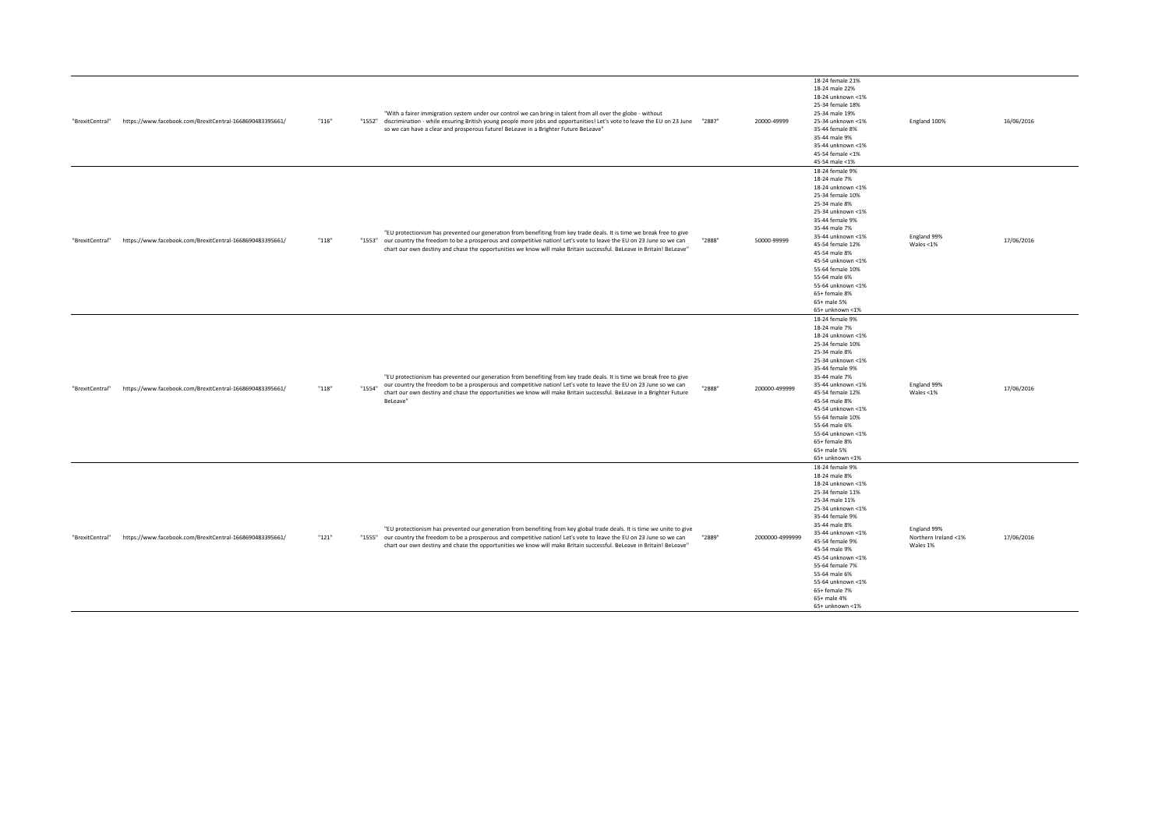| "BrexitCentral" | https://www.facebook.com/BrexitCentral-1668690483395661/ | "116"   | "With a fairer immigration system under our control we can bring in talent from all over the globe - without<br>"1288" discrimination - while ensuring British young people more jobs and opportunities! Let's vote to leave the EU on 23 June "2887"<br>so we can have a clear and prosperous future! BeLeave in a Brighter Future BeLeave"                                              |        | 20000-49999     | 18-24 female 21%<br>18-24 male 22%<br>18-24 unknown <1%<br>25-34 female 18%<br>25-34 male 19%<br>25-34 unknown <1%<br>35-44 female 8%<br>35-44 male 9%<br>35-44 unknown <1%<br>45-54 female <1%<br>45-54 male <1%                                                                                                                               | England 100%                                    | 16/06/2016 |
|-----------------|----------------------------------------------------------|---------|-------------------------------------------------------------------------------------------------------------------------------------------------------------------------------------------------------------------------------------------------------------------------------------------------------------------------------------------------------------------------------------------|--------|-----------------|-------------------------------------------------------------------------------------------------------------------------------------------------------------------------------------------------------------------------------------------------------------------------------------------------------------------------------------------------|-------------------------------------------------|------------|
| "BrexitCentral" | https://www.facebook.com/BrexitCentral-1668690483395661/ | "118"   | "EU protectionism has prevented our generation from benefiting from key trade deals. It is time we break free to give<br>"1553" our country the freedom to be a prosperous and competitive nation! Let's vote to leave the EU on 23 June so we can<br>chart our own destiny and chase the opportunities we know will make Britain successful. BeLeave in Britain! BeLeave"                | "2888" | 50000-99999     | 18-24 female 9%<br>18-24 male 7%<br>18-24 unknown <1%<br>25-34 female 10%<br>25-34 male 8%<br>25-34 unknown <1%<br>35-44 female 9%<br>35-44 male 7%<br>35-44 unknown <1%<br>45-54 female 12%<br>45-54 male 8%<br>45-54 unknown <1%<br>55-64 female 10%<br>55-64 male 6%<br>55-64 unknown <1%<br>65+ female 8%<br>65+ male 5%<br>65+ unknown <1% | England 99%<br>Wales $<$ 1%                     | 17/06/2016 |
| "BrexitCentral" | https://www.facebook.com/BrexitCentral-1668690483395661/ | $"118"$ | "EU protectionism has prevented our generation from benefiting from key trade deals. It is time we break free to give<br>our country the freedom to be a prosperous and competitive nation! Let's vote to leave the EU on 23 June so we can<br>"1554"<br>chart our own destiny and chase the opportunities we know will make Britain successful. BeLeave in a Brighter Future<br>BeLeave" | "2888" | 200000-499999   | 18-24 female 9%<br>18-24 male 7%<br>18-24 unknown <1%<br>25-34 female 10%<br>25-34 male 8%<br>25-34 unknown <1%<br>35-44 female 9%<br>35-44 male 7%<br>35-44 unknown <1%<br>45-54 female 12%<br>45-54 male 8%<br>45-54 unknown <1%<br>55-64 female 10%<br>55-64 male 6%<br>55-64 unknown <1%<br>65+ female 8%<br>65+ male 5%<br>65+ unknown <1% | England 99%<br>Wales $<$ 1%                     | 17/06/2016 |
| "BrexitCentral" | https://www.facebook.com/BrexitCentral-1668690483395661/ | "121"   | "EU protectionism has prevented our generation from benefiting from key global trade deals. It is time we unite to give<br>"1555" our country the freedom to be a prosperous and competitive nation! Let's vote to leave the EU on 23 June so we can<br>chart our own destiny and chase the opportunities we know will make Britain successful. BeLeave in Britain! BeLeave"              | "2889" | 2000000-4999999 | 18-24 female 9%<br>18-24 male 8%<br>18-24 unknown <1%<br>25-34 female 11%<br>25-34 male 11%<br>25-34 unknown <1%<br>35-44 female 9%<br>35-44 male 8%<br>35-44 unknown <1%<br>45-54 female 9%<br>45-54 male 9%<br>45-54 unknown <1%<br>55-64 female 7%<br>55-64 male 6%<br>55-64 unknown <1%<br>65+ female 7%<br>65+ male 4%<br>65+ unknown <1%  | England 99%<br>Northern Ireland <1%<br>Wales 1% | 17/06/2016 |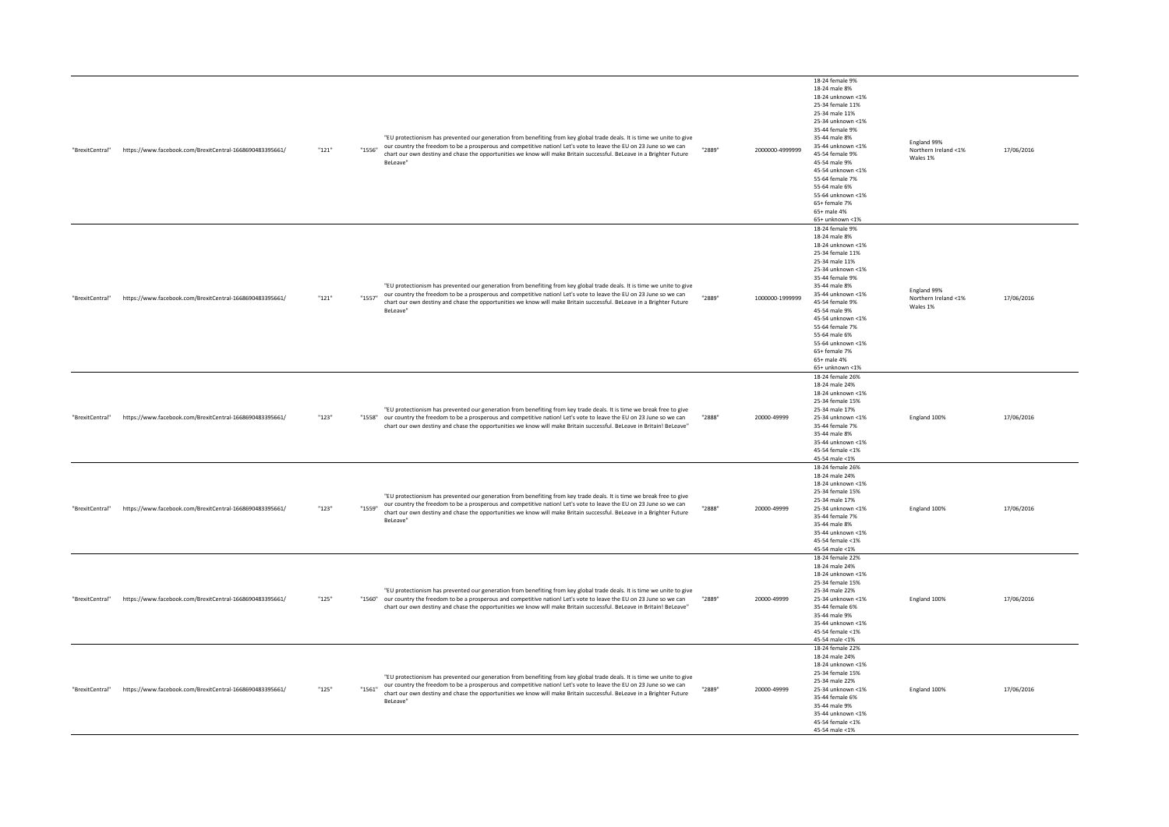| "BrexitCentral" | https://www.facebook.com/BrexitCentral-1668690483395661/ | "121" | "1556" | "EU protectionism has prevented our generation from benefiting from key global trade deals. It is time we unite to give<br>our country the freedom to be a prosperous and competitive nation! Let's vote to leave the EU on 23 June so we can<br>chart our own destiny and chase the opportunities we know will make Britain successful. BeLeave in a Brighter Future<br>BeLeave" | "2889" | 2000000-4999999 | 18-24 female 9%<br>18-24 male 8%<br>18-24 unknown <1%<br>25-34 female 11%<br>25-34 male 11%<br>25-34 unknown <1%<br>35-44 female 9%<br>35-44 male 8%<br>35-44 unknown <1%<br>45-54 female 9%<br>45-54 male 9%<br>45-54 unknown <1%<br>55-64 female 7%<br>55-64 male 6%<br>55-64 unknown <1%<br>65+ female 7%<br>65+ male 4%<br>65+ unknown <1% | England 99%<br>Northern Ireland <1%<br>Wales 1% | 17/06/2016 |
|-----------------|----------------------------------------------------------|-------|--------|-----------------------------------------------------------------------------------------------------------------------------------------------------------------------------------------------------------------------------------------------------------------------------------------------------------------------------------------------------------------------------------|--------|-----------------|------------------------------------------------------------------------------------------------------------------------------------------------------------------------------------------------------------------------------------------------------------------------------------------------------------------------------------------------|-------------------------------------------------|------------|
| "BrexitCentral" | https://www.facebook.com/BrexitCentral-1668690483395661/ | "121" | "1557" | "EU protectionism has prevented our generation from benefiting from key global trade deals. It is time we unite to give<br>our country the freedom to be a prosperous and competitive nation! Let's vote to leave the EU on 23 June so we can<br>chart our own destiny and chase the opportunities we know will make Britain successful. BeLeave in a Brighter Future<br>BeLeave" | "2889" | 1000000-1999999 | 18-24 female 9%<br>18-24 male 8%<br>18-24 unknown <1%<br>25-34 female 11%<br>25-34 male 11%<br>25-34 unknown <1%<br>35-44 female 9%<br>35-44 male 8%<br>35-44 unknown <1%<br>45-54 female 9%<br>45-54 male 9%<br>45-54 unknown <1%<br>55-64 female 7%<br>55-64 male 6%<br>55-64 unknown <1%<br>65+ female 7%<br>65+ male 4%<br>65+ unknown <1% | England 99%<br>Northern Ireland <1%<br>Wales 1% | 17/06/2016 |
| "BrexitCentral" | https://www.facebook.com/BrexitCentral-1668690483395661/ | "123" |        | "EU protectionism has prevented our generation from benefiting from key trade deals. It is time we break free to give<br>"1558" our country the freedom to be a prosperous and competitive nation! Let's vote to leave the EU on 23 June so we can<br>chart our own destiny and chase the opportunities we know will make Britain successful. BeLeave in Britain! BeLeave"        | "2888" | 20000-49999     | 18-24 female 26%<br>18-24 male 24%<br>18-24 unknown <1%<br>25-34 female 15%<br>25-34 male 17%<br>25-34 unknown <1%<br>35-44 female 7%<br>35-44 male 8%<br>35-44 unknown <1%<br>45-54 female <1%<br>45-54 male <1%                                                                                                                              | England 100%                                    | 17/06/2016 |
| "BrexitCentral" | https://www.facebook.com/BrexitCentral-1668690483395661/ | "123" | "1559" | "EU protectionism has prevented our generation from benefiting from key trade deals. It is time we break free to give<br>our country the freedom to be a prosperous and competitive nation! Let's vote to leave the EU on 23 June so we can<br>chart our own destiny and chase the opportunities we know will make Britain successful. BeLeave in a Brighter Future<br>BeLeave"   | "2888" | 20000-49999     | 18-24 female 26%<br>18-24 male 24%<br>18-24 unknown <1%<br>25-34 female 15%<br>25-34 male 17%<br>25-34 unknown <1%<br>35-44 female 7%<br>35-44 male 8%<br>35-44 unknown <1%<br>45-54 female <1%<br>45-54 male <1%                                                                                                                              | England 100%                                    | 17/06/2016 |
| "BrexitCentral" | https://www.facebook.com/BrexitCentral-1668690483395661/ | "125" |        | "EU protectionism has prevented our generation from benefiting from key global trade deals. It is time we unite to give<br>"1560" our country the freedom to be a prosperous and competitive nation! Let's vote to leave the EU on 23 June so we can<br>chart our own destiny and chase the opportunities we know will make Britain successful. BeLeave in Britain! BeLeave"      | "2889" | 20000-49999     | 18-24 female 22%<br>18-24 male 24%<br>18-24 unknown <1%<br>25-34 female 15%<br>25-34 male 22%<br>25-34 unknown <1%<br>35-44 female 6%<br>35-44 male 9%<br>35-44 unknown <1%<br>45-54 female <1%<br>45-54 male <1%                                                                                                                              | England 100%                                    | 17/06/2016 |
| "BrexitCentral" | https://www.facebook.com/BrexitCentral-1668690483395661/ | "125" | "1561" | "EU protectionism has prevented our generation from benefiting from key global trade deals. It is time we unite to give<br>our country the freedom to be a prosperous and competitive nation! Let's vote to leave the EU on 23 June so we can<br>chart our own destiny and chase the opportunities we know will make Britain successful. BeLeave in a Brighter Future<br>BeLeave" | "2889" | 20000-49999     | 18-24 female 22%<br>18-24 male 24%<br>18-24 unknown <1%<br>25-34 female 15%<br>25-34 male 22%<br>25-34 unknown <1%<br>35-44 female 6%<br>35-44 male 9%<br>35-44 unknown <1%<br>45-54 female <1%<br>45-54 male <1%                                                                                                                              | England 100%                                    | 17/06/2016 |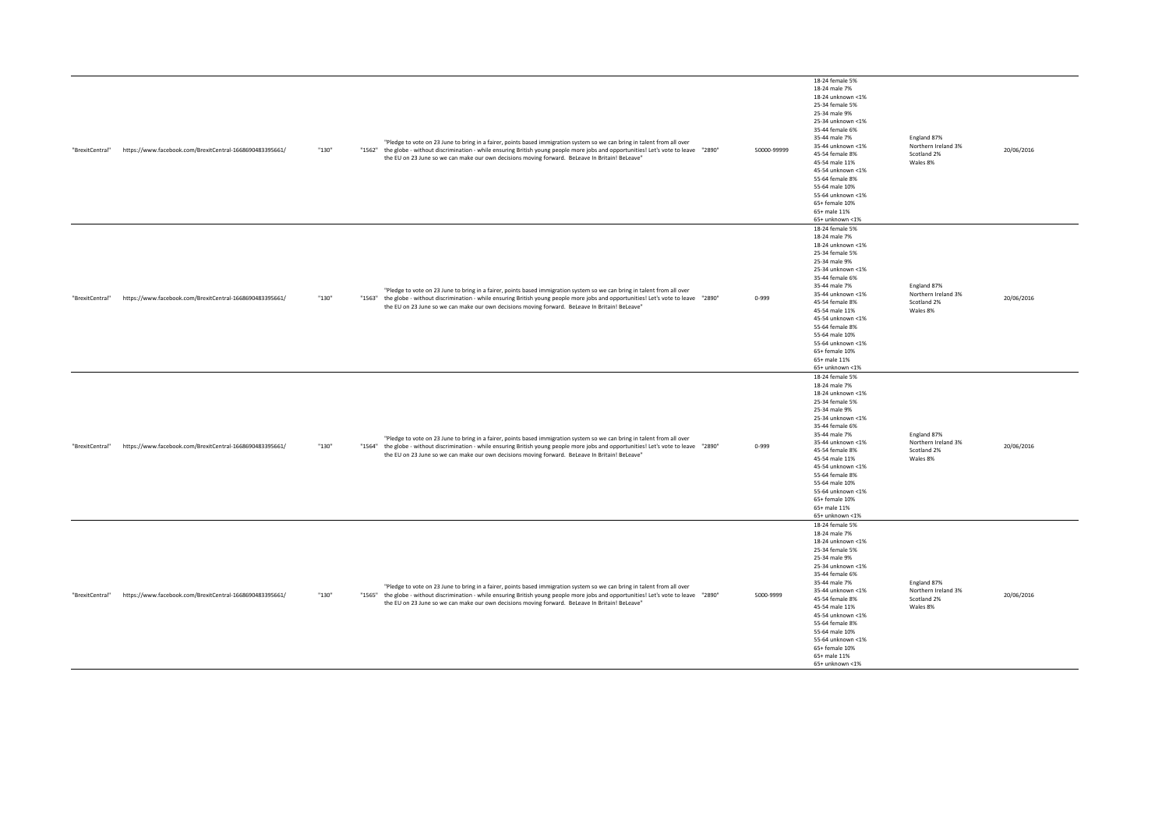| "BrexitCentral" | https://www.facebook.com/BrexitCentral-1668690483395661/ | "130" | "Pledge to vote on 23 June to bring in a fairer, points based immigration system so we can bring in talent from all over<br>"1562" the globe - without discrimination - while ensuring British young people more jobs and opportunities! Let's vote to leave "2890"<br>the EU on 23 June so we can make our own decisions moving forward. BeLeave In Britain! BeLeave" | 50000-99999 | 18-24 female 5%<br>18-24 male 7%<br>18-24 unknown <1%<br>25-34 female 5%<br>25-34 male 9%<br>25-34 unknown <1%<br>35-44 female 6%<br>35-44 male 7%<br>35-44 unknown <1%<br>45-54 female 8%<br>45-54 male 11%<br>45-54 unknown <1%<br>55-64 female 8%<br>55-64 male 10%<br>55-64 unknown <1%<br>65+ female 10%<br>65+ male 11%<br>65+ unknown <1% | England 87%<br>Northern Ireland 3%<br>Scotland 2%<br>Wales 8% | 20/06/2016 |
|-----------------|----------------------------------------------------------|-------|------------------------------------------------------------------------------------------------------------------------------------------------------------------------------------------------------------------------------------------------------------------------------------------------------------------------------------------------------------------------|-------------|--------------------------------------------------------------------------------------------------------------------------------------------------------------------------------------------------------------------------------------------------------------------------------------------------------------------------------------------------|---------------------------------------------------------------|------------|
| "BrexitCentral" | https://www.facebook.com/BrexitCentral-1668690483395661/ | "130" | "Pledge to vote on 23 June to bring in a fairer, points based immigration system so we can bring in talent from all over<br>"1563" the globe - without discrimination - while ensuring British young people more jobs and opportunities! Let's vote to leave "2890"<br>the EU on 23 June so we can make our own decisions moving forward. BeLeave In Britain! BeLeave" | $0 - 999$   | 18-24 female 5%<br>18-24 male 7%<br>18-24 unknown <1%<br>25-34 female 5%<br>25-34 male 9%<br>25-34 unknown <1%<br>35-44 female 6%<br>35-44 male 7%<br>35-44 unknown <1%<br>45-54 female 8%<br>45-54 male 11%<br>45-54 unknown <1%<br>55-64 female 8%<br>55-64 male 10%<br>55-64 unknown <1%<br>65+ female 10%<br>65+ male 11%<br>65+ unknown <1% | England 87%<br>Northern Ireland 3%<br>Scotland 2%<br>Wales 8% | 20/06/2016 |
| "BrexitCentral" | https://www.facebook.com/BrexitCentral-1668690483395661/ | "130" | "Pledge to vote on 23 June to bring in a fairer, points based immigration system so we can bring in talent from all over<br>"1280" the globe - without discrimination - while ensuring British young people more jobs and opportunities! Let's vote to leave "2890"<br>the EU on 23 June so we can make our own decisions moving forward. BeLeave In Britain! BeLeave" | $0 - 999$   | 18-24 female 5%<br>18-24 male 7%<br>18-24 unknown <1%<br>25-34 female 5%<br>25-34 male 9%<br>25-34 unknown <1%<br>35-44 female 6%<br>35-44 male 7%<br>35-44 unknown <1%<br>45-54 female 8%<br>45-54 male 11%<br>45-54 unknown <1%<br>55-64 female 8%<br>55-64 male 10%<br>55-64 unknown <1%<br>65+ female 10%<br>65+ male 11%<br>65+ unknown <1% | England 87%<br>Northern Ireland 3%<br>Scotland 2%<br>Wales 8% | 20/06/2016 |
| "BrexitCentral" | https://www.facebook.com/BrexitCentral-1668690483395661/ | "130" | "Pledge to vote on 23 June to bring in a fairer, points based immigration system so we can bring in talent from all over<br>"1565" the globe - without discrimination - while ensuring British young people more jobs and opportunities! Let's vote to leave "2890"<br>the EU on 23 June so we can make our own decisions moving forward. BeLeave In Britain! BeLeave" | 5000-9999   | 18-24 female 5%<br>18-24 male 7%<br>18-24 unknown <1%<br>25-34 female 5%<br>25-34 male 9%<br>25-34 unknown <1%<br>35-44 female 6%<br>35-44 male 7%<br>35-44 unknown <1%<br>45-54 female 8%<br>45-54 male 11%<br>45-54 unknown <1%<br>55-64 female 8%<br>55-64 male 10%<br>55-64 unknown <1%<br>65+ female 10%<br>65+ male 11%<br>65+ unknown <1% | England 87%<br>Northern Ireland 3%<br>Scotland 2%<br>Wales 8% | 20/06/2016 |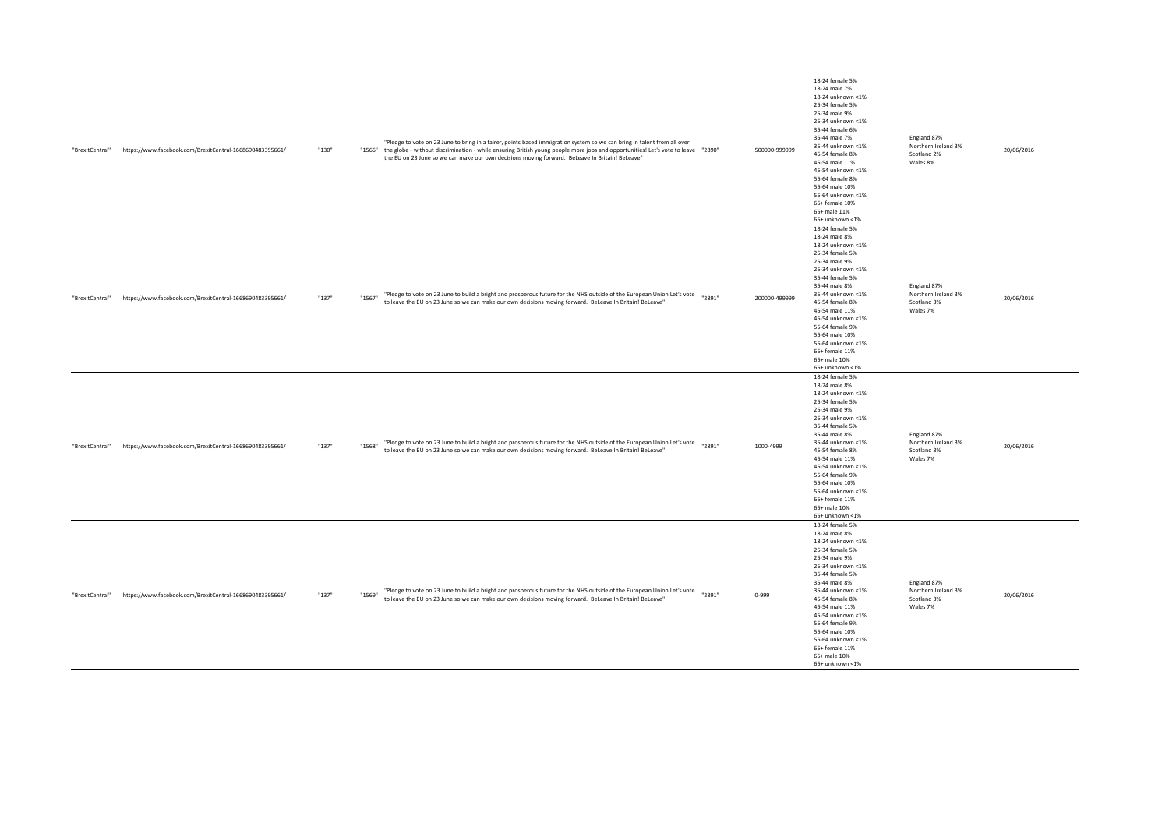| "BrexitCentral" | https://www.facebook.com/BrexitCentral-1668690483395661/ | "130" | "Pledge to vote on 23 June to bring in a fairer, points based immigration system so we can bring in talent from all over<br>"1566" the globe - without discrimination - while ensuring British young people more jobs and opportunities! Let's vote to leave "2890"<br>the EU on 23 June so we can make our own decisions moving forward. BeLeave In Britain! BeLeave" | 500000-999999 | 18-24 female 5%<br>18-24 male 7%<br>18-24 unknown <1%<br>25-34 female 5%<br>25-34 male 9%<br>25-34 unknown <1%<br>35-44 female 6%<br>35-44 male 7%<br>35-44 unknown <1%<br>45-54 female 8%<br>45-54 male 11%<br>45-54 unknown <1%<br>55-64 female 8%<br>55-64 male 10%<br>55-64 unknown <1%<br>65+ female 10%<br>65+ male 11%<br>65+ unknown <1% | England 87%<br>Northern Ireland 3%<br>Scotland 2%<br>Wales 8% | 20/06/2016 |
|-----------------|----------------------------------------------------------|-------|------------------------------------------------------------------------------------------------------------------------------------------------------------------------------------------------------------------------------------------------------------------------------------------------------------------------------------------------------------------------|---------------|--------------------------------------------------------------------------------------------------------------------------------------------------------------------------------------------------------------------------------------------------------------------------------------------------------------------------------------------------|---------------------------------------------------------------|------------|
| "BrexitCentral" | https://www.facebook.com/BrexitCentral-1668690483395661/ | "137" | "Pledge to vote on 23 June to build a bright and prosperous future for the NHS outside of the European Union Let's vote<br>"2891"<br>"1567"<br>to leave the EU on 23 June so we can make our own decisions moving forward. BeLeave In Britain! BeLeave"                                                                                                                | 200000-499999 | 18-24 female 5%<br>18-24 male 8%<br>18-24 unknown <1%<br>25-34 female 5%<br>25-34 male 9%<br>25-34 unknown <1%<br>35-44 female 5%<br>35-44 male 8%<br>35-44 unknown <1%<br>45-54 female 8%<br>45-54 male 11%<br>45-54 unknown <1%<br>55-64 female 9%<br>55-64 male 10%<br>55-64 unknown <1%<br>65+ female 11%<br>65+ male 10%<br>65+ unknown <1% | England 87%<br>Northern Ireland 3%<br>Scotland 3%<br>Wales 7% | 20/06/2016 |
| "BrexitCentral" | https://www.facebook.com/BrexitCentral-1668690483395661/ | "137" | "Pledge to vote on 23 June to build a bright and prosperous future for the NHS outside of the European Union Let's vote "2891"<br>"1568"<br>to leave the EU on 23 June so we can make our own decisions moving forward. BeLeave In Britain! BeLeave"                                                                                                                   | 1000-4999     | 18-24 female 5%<br>18-24 male 8%<br>18-24 unknown <1%<br>25-34 female 5%<br>25-34 male 9%<br>25-34 unknown <1%<br>35-44 female 5%<br>35-44 male 8%<br>35-44 unknown <1%<br>45-54 female 8%<br>45-54 male 11%<br>45-54 unknown <1%<br>55-64 female 9%<br>55-64 male 10%<br>55-64 unknown <1%<br>65+ female 11%<br>65+ male 10%<br>65+ unknown <1% | England 87%<br>Northern Ireland 3%<br>Scotland 3%<br>Wales 7% | 20/06/2016 |
| "BrexitCentral" | https://www.facebook.com/BrexitCentral-1668690483395661/ | "137" | "Pledge to vote on 23 June to build a bright and prosperous future for the NHS outside of the European Union Let's vote<br>"2891"<br>"1569"<br>to leave the EU on 23 June so we can make our own decisions moving forward. BeLeave In Britain! BeLeave"                                                                                                                | $0 - 999$     | 18-24 female 5%<br>18-24 male 8%<br>18-24 unknown <1%<br>25-34 female 5%<br>25-34 male 9%<br>25-34 unknown <1%<br>35-44 female 5%<br>35-44 male 8%<br>35-44 unknown <1%<br>45-54 female 8%<br>45-54 male 11%<br>45-54 unknown <1%<br>55-64 female 9%<br>55-64 male 10%<br>55-64 unknown <1%<br>65+ female 11%<br>65+ male 10%<br>65+ unknown <1% | England 87%<br>Northern Ireland 3%<br>Scotland 3%<br>Wales 7% | 20/06/2016 |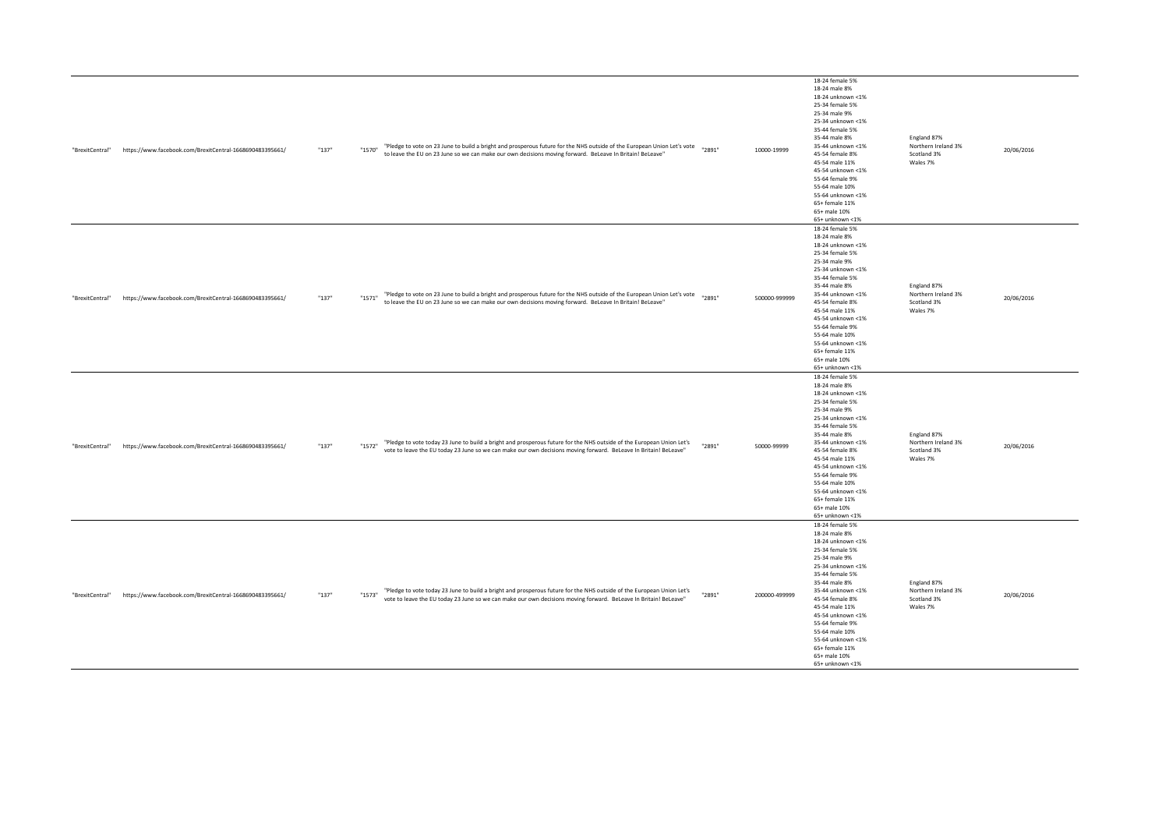| "BrexitCentral" | https://www.facebook.com/BrexitCentral-1668690483395661/ | "137" | "Pledge to vote on 23 June to build a bright and prosperous future for the NHS outside of the European Union Let's vote<br>"1570"<br>to leave the EU on 23 June so we can make our own decisions moving forward. BeLeave In Britain! BeLeave"       | "2891" | 10000-19999   | 18-24 female 5%<br>18-24 male 8%<br>18-24 unknown <1%<br>25-34 female 5%<br>25-34 male 9%<br>25-34 unknown <1%<br>35-44 female 5%<br>35-44 male 8%<br>35-44 unknown <1%<br>45-54 female 8%<br>45-54 male 11%<br>45-54 unknown <1%<br>55-64 female 9%<br>55-64 male 10%<br>55-64 unknown <1%<br>65+ female 11%<br>65+ male 10%<br>65+ unknown <1% | England 87%<br>Northern Ireland 3%<br>Scotland 3%<br>Wales 7% | 20/06/2016 |
|-----------------|----------------------------------------------------------|-------|-----------------------------------------------------------------------------------------------------------------------------------------------------------------------------------------------------------------------------------------------------|--------|---------------|--------------------------------------------------------------------------------------------------------------------------------------------------------------------------------------------------------------------------------------------------------------------------------------------------------------------------------------------------|---------------------------------------------------------------|------------|
| "BrexitCentral" | https://www.facebook.com/BrexitCentral-1668690483395661/ | "137" | "Pledge to vote on 23 June to build a bright and prosperous future for the NHS outside of the European Union Let's vote<br>"1571"<br>to leave the EU on 23 June so we can make our own decisions moving forward. BeLeave In Britain! BeLeave"       | "2891" | 500000-999999 | 18-24 female 5%<br>18-24 male 8%<br>18-24 unknown <1%<br>25-34 female 5%<br>25-34 male 9%<br>25-34 unknown <1%<br>35-44 female 5%<br>35-44 male 8%<br>35-44 unknown <1%<br>45-54 female 8%<br>45-54 male 11%<br>45-54 unknown <1%<br>55-64 female 9%<br>55-64 male 10%<br>55-64 unknown <1%<br>65+ female 11%<br>65+ male 10%<br>65+ unknown <1% | England 87%<br>Northern Ireland 3%<br>Scotland 3%<br>Wales 7% | 20/06/2016 |
| "BrexitCentral" | https://www.facebook.com/BrexitCentral-1668690483395661/ | "137" | "Pledge to vote today 23 June to build a bright and prosperous future for the NHS outside of the European Union Let's<br>"1572"<br>vote to leave the EU today 23 June so we can make our own decisions moving forward. BeLeave In Britain! BeLeave" | "2891" | 50000-99999   | 18-24 female 5%<br>18-24 male 8%<br>18-24 unknown <1%<br>25-34 female 5%<br>25-34 male 9%<br>25-34 unknown <1%<br>35-44 female 5%<br>35-44 male 8%<br>35-44 unknown <1%<br>45-54 female 8%<br>45-54 male 11%<br>45-54 unknown <1%<br>55-64 female 9%<br>55-64 male 10%<br>55-64 unknown <1%<br>65+ female 11%<br>65+ male 10%<br>65+ unknown <1% | England 87%<br>Northern Ireland 3%<br>Scotland 3%<br>Wales 7% | 20/06/2016 |
| "BrexitCentral" | https://www.facebook.com/BrexitCentral-1668690483395661/ | "137" | "Pledge to vote today 23 June to build a bright and prosperous future for the NHS outside of the European Union Let's<br>"1573"<br>vote to leave the EU today 23 June so we can make our own decisions moving forward. BeLeave In Britain! BeLeave" | "2891" | 200000-499999 | 18-24 female 5%<br>18-24 male 8%<br>18-24 unknown <1%<br>25-34 female 5%<br>25-34 male 9%<br>25-34 unknown <1%<br>35-44 female 5%<br>35-44 male 8%<br>35-44 unknown <1%<br>45-54 female 8%<br>45-54 male 11%<br>45-54 unknown <1%<br>55-64 female 9%<br>55-64 male 10%<br>55-64 unknown <1%<br>65+ female 11%<br>65+ male 10%<br>65+ unknown <1% | England 87%<br>Northern Ireland 3%<br>Scotland 3%<br>Wales 7% | 20/06/2016 |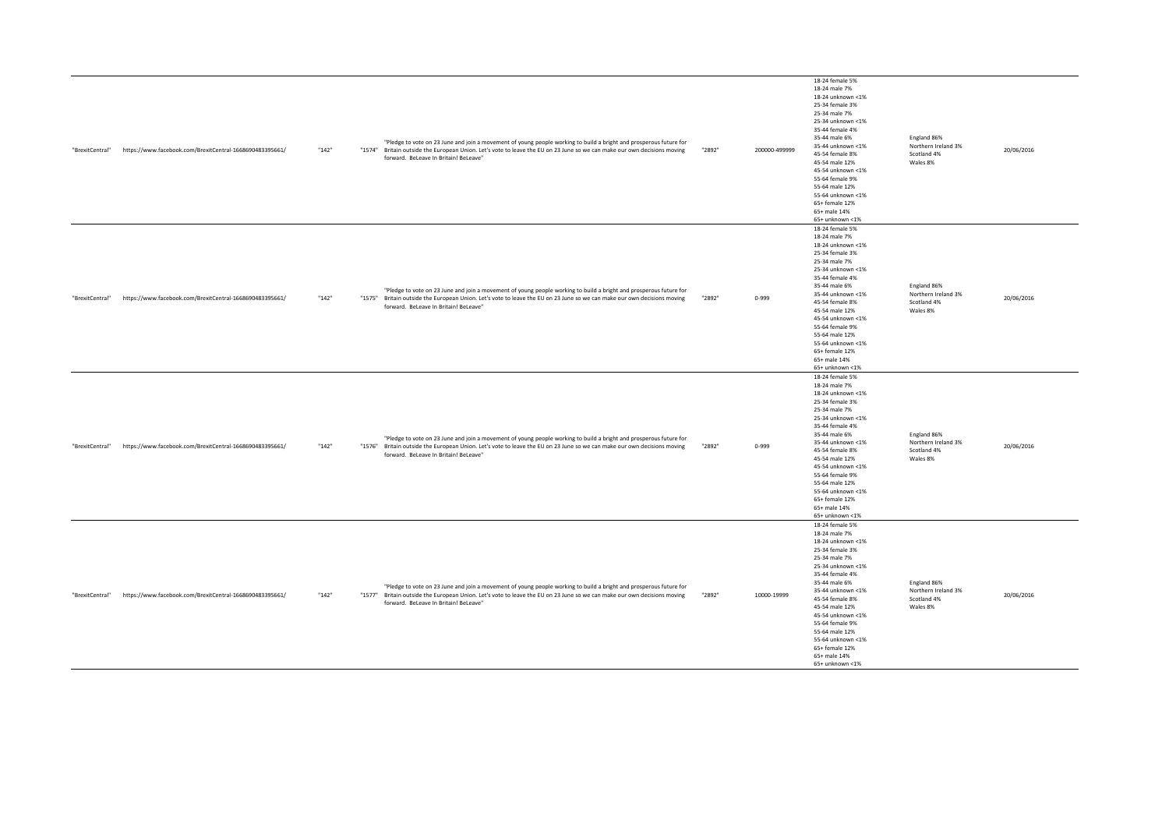| "BrexitCentral" | https://www.facebook.com/BrexitCentral-1668690483395661/ | "142" | forward. BeLeave In Britain! BeLeave" | "Pledge to vote on 23 June and join a movement of young people working to build a bright and prosperous future for<br>"1574" Britain outside the European Union. Let's vote to leave the EU on 23 June so we can make our own decisions moving | "2892" | 200000-499999 | 18-24 female 5%<br>18-24 male 7%<br>18-24 unknown <1%<br>25-34 female 3%<br>25-34 male 7%<br>25-34 unknown <1%<br>35-44 female 4%<br>35-44 male 6%<br>35-44 unknown <1%<br>45-54 female 8%<br>45-54 male 12%<br>45-54 unknown <1%<br>55-64 female 9%<br>55-64 male 12%<br>55-64 unknown <1%<br>65+ female 12%<br>65+ male 14%<br>65+ unknown <1% | England 86%<br>Northern Ireland 3%<br>Scotland 4%<br>Wales 8% | 20/06/2016 |
|-----------------|----------------------------------------------------------|-------|---------------------------------------|------------------------------------------------------------------------------------------------------------------------------------------------------------------------------------------------------------------------------------------------|--------|---------------|--------------------------------------------------------------------------------------------------------------------------------------------------------------------------------------------------------------------------------------------------------------------------------------------------------------------------------------------------|---------------------------------------------------------------|------------|
| "BrexitCentral" | https://www.facebook.com/BrexitCentral-1668690483395661/ | "142" | forward. BeLeave In Britain! BeLeave" | "Pledge to vote on 23 June and join a movement of young people working to build a bright and prosperous future for<br>"1575" Britain outside the European Union. Let's vote to leave the EU on 23 June so we can make our own decisions moving | "2892" | $0 - 999$     | 18-24 female 5%<br>18-24 male 7%<br>18-24 unknown <1%<br>25-34 female 3%<br>25-34 male 7%<br>25-34 unknown <1%<br>35-44 female 4%<br>35-44 male 6%<br>35-44 unknown <1%<br>45-54 female 8%<br>45-54 male 12%<br>45-54 unknown <1%<br>55-64 female 9%<br>55-64 male 12%<br>55-64 unknown <1%<br>65+ female 12%<br>65+ male 14%<br>65+ unknown <1% | England 86%<br>Northern Ireland 3%<br>Scotland 4%<br>Wales 8% | 20/06/2016 |
| "BrexitCentral" | https://www.facebook.com/BrexitCentral-1668690483395661/ | "142" | forward. BeLeave In Britain! BeLeave" | "Pledge to vote on 23 June and join a movement of young people working to build a bright and prosperous future for<br>"1576" Britain outside the European Union. Let's vote to leave the EU on 23 June so we can make our own decisions moving | "2892" | $0 - 999$     | 18-24 female 5%<br>18-24 male 7%<br>18-24 unknown <1%<br>25-34 female 3%<br>25-34 male 7%<br>25-34 unknown <1%<br>35-44 female 4%<br>35-44 male 6%<br>35-44 unknown <1%<br>45-54 female 8%<br>45-54 male 12%<br>45-54 unknown <1%<br>55-64 female 9%<br>55-64 male 12%<br>55-64 unknown <1%<br>65+ female 12%<br>65+ male 14%<br>65+ unknown <1% | England 86%<br>Northern Ireland 3%<br>Scotland 4%<br>Wales 8% | 20/06/2016 |
| "BrexitCentral" | https://www.facebook.com/BrexitCentral-1668690483395661/ | "142" | forward. BeLeave In Britain! BeLeave" | "Pledge to vote on 23 June and join a movement of young people working to build a bright and prosperous future for<br>"1577" Britain outside the European Union. Let's vote to leave the EU on 23 June so we can make our own decisions moving | "2892" | 10000-19999   | 18-24 female 5%<br>18-24 male 7%<br>18-24 unknown <1%<br>25-34 female 3%<br>25-34 male 7%<br>25-34 unknown <1%<br>35-44 female 4%<br>35-44 male 6%<br>35-44 unknown <1%<br>45-54 female 8%<br>45-54 male 12%<br>45-54 unknown <1%<br>55-64 female 9%<br>55-64 male 12%<br>55-64 unknown <1%<br>65+ female 12%<br>65+ male 14%<br>65+ unknown <1% | England 86%<br>Northern Ireland 3%<br>Scotland 4%<br>Wales 8% | 20/06/2016 |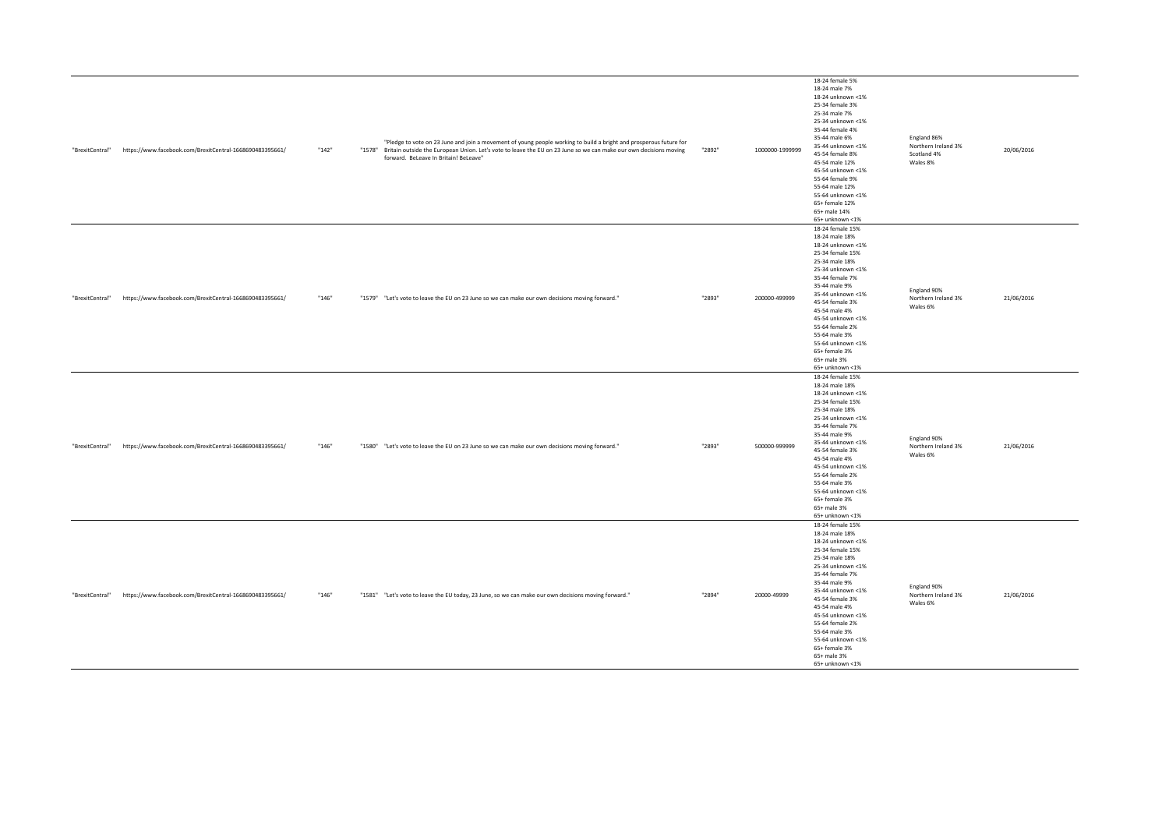| "BrexitCentral" | https://www.facebook.com/BrexitCentral-1668690483395661/ | "142" | "Pledge to vote on 23 June and join a movement of young people working to build a bright and prosperous future for<br>"1578" Britain outside the European Union. Let's vote to leave the EU on 23 June so we can make our own decisions moving<br>forward. BeLeave In Britain! BeLeave" | "2892" | 1000000-1999999 | 18-24 female 5%<br>18-24 male 7%<br>18-24 unknown <1%<br>25-34 female 3%<br>25-34 male 7%<br>25-34 unknown <1%<br>35-44 female 4%<br>35-44 male 6%<br>35-44 unknown <1%<br>45-54 female 8%<br>45-54 male 12%<br>45-54 unknown <1%<br>55-64 female 9%<br>55-64 male 12%<br>55-64 unknown <1%<br>65+ female 12%<br>65+ male 14%<br>65+ unknown <1% | England 86%<br>Northern Ireland 3%<br>Scotland 4%<br>Wales 8% | 20/06/2016 |
|-----------------|----------------------------------------------------------|-------|-----------------------------------------------------------------------------------------------------------------------------------------------------------------------------------------------------------------------------------------------------------------------------------------|--------|-----------------|--------------------------------------------------------------------------------------------------------------------------------------------------------------------------------------------------------------------------------------------------------------------------------------------------------------------------------------------------|---------------------------------------------------------------|------------|
| "BrexitCentral" | https://www.facebook.com/BrexitCentral-1668690483395661/ | "146" | "1579" "Let's vote to leave the EU on 23 June so we can make our own decisions moving forward."                                                                                                                                                                                         | "2893" | 200000-499999   | 18-24 female 15%<br>18-24 male 18%<br>18-24 unknown <1%<br>25-34 female 15%<br>25-34 male 18%<br>25-34 unknown <1%<br>35-44 female 7%<br>35-44 male 9%<br>35-44 unknown <1%<br>45-54 female 3%<br>45-54 male 4%<br>45-54 unknown <1%<br>55-64 female 2%<br>55-64 male 3%<br>55-64 unknown <1%<br>65+ female 3%<br>65+ male 3%<br>65+ unknown <1% | England 90%<br>Northern Ireland 3%<br>Wales 6%                | 21/06/2016 |
| "BrexitCentral" | https://www.facebook.com/BrexitCentral-1668690483395661/ | "146" | "1580" "Let's vote to leave the EU on 23 June so we can make our own decisions moving forward."                                                                                                                                                                                         | "2893" | 500000-999999   | 18-24 female 15%<br>18-24 male 18%<br>18-24 unknown <1%<br>25-34 female 15%<br>25-34 male 18%<br>25-34 unknown <1%<br>35-44 female 7%<br>35-44 male 9%<br>35-44 unknown <1%<br>45-54 female 3%<br>45-54 male 4%<br>45-54 unknown <1%<br>55-64 female 2%<br>55-64 male 3%<br>55-64 unknown <1%<br>65+ female 3%<br>65+ male 3%<br>65+ unknown <1% | England 90%<br>Northern Ireland 3%<br>Wales 6%                | 21/06/2016 |
| "BrexitCentral" | https://www.facebook.com/BrexitCentral-1668690483395661/ | "146" | "1581" "Let's vote to leave the EU today, 23 June, so we can make our own decisions moving forward."                                                                                                                                                                                    | "2894" | 20000-49999     | 18-24 female 15%<br>18-24 male 18%<br>18-24 unknown <1%<br>25-34 female 15%<br>25-34 male 18%<br>25-34 unknown <1%<br>35-44 female 7%<br>35-44 male 9%<br>35-44 unknown <1%<br>45-54 female 3%<br>45-54 male 4%<br>45-54 unknown <1%<br>55-64 female 2%<br>55-64 male 3%<br>55-64 unknown <1%<br>65+ female 3%<br>65+ male 3%<br>65+ unknown <1% | England 90%<br>Northern Ireland 3%<br>Wales 6%                | 21/06/2016 |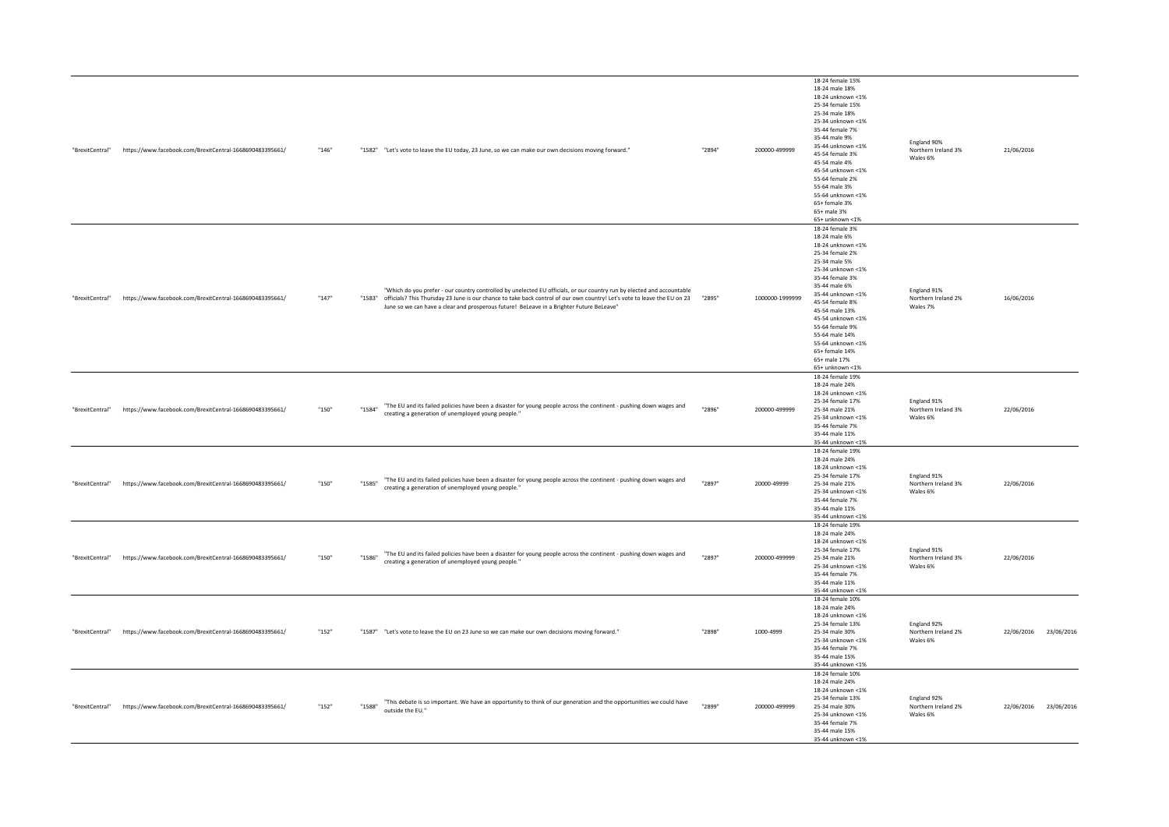| "BrexitCentral" | https://www.facebook.com/BrexitCentral-1668690483395661/                 | "146" | "1582" "Let's vote to leave the EU today, 23 June, so we can make our own decisions moving forward."                                                                                                                                                                                                                                                         | "2894" | 200000-499999   | 18-24 female 15%<br>18-24 male 18%<br>18-24 unknown <1%<br>25-34 female 15%<br>25-34 male 18%<br>25-34 unknown <1%<br>35-44 female 7%<br>35-44 male 9%<br>35-44 unknown <1%<br>45-54 female 3%<br>45-54 male 4%<br>45-54 unknown <1%<br>55-64 female 2%<br>55-64 male 3%<br>55-64 unknown <1%<br>65+ female 3%<br>65+ male 3%<br>65+ unknown <1% | England 90%<br>Northern Ireland 3%<br>Wales 6% | 21/06/2016            |
|-----------------|--------------------------------------------------------------------------|-------|--------------------------------------------------------------------------------------------------------------------------------------------------------------------------------------------------------------------------------------------------------------------------------------------------------------------------------------------------------------|--------|-----------------|--------------------------------------------------------------------------------------------------------------------------------------------------------------------------------------------------------------------------------------------------------------------------------------------------------------------------------------------------|------------------------------------------------|-----------------------|
| "BrexitCentral" | https://www.facebook.com/BrexitCentral-1668690483395661/                 | "147" | "Which do you prefer - our country controlled by unelected EU officials, or our country run by elected and accountable<br>"1283" officials? This Thursday 23 June is our chance to take back control of our own country! Let's vote to leave the EU on 23 "2895"<br>June so we can have a clear and prosperous future! BeLeave in a Brighter Future BeLeave" |        | 1000000-1999999 | 18-24 female 3%<br>18-24 male 6%<br>18-24 unknown <1%<br>25-34 female 2%<br>25-34 male 5%<br>25-34 unknown <1%<br>35-44 female 3%<br>35-44 male 6%<br>35-44 unknown <1%<br>45-54 female 8%<br>45-54 male 13%<br>45-54 unknown <1%<br>55-64 female 9%<br>55-64 male 14%<br>55-64 unknown <1%<br>65+ female 14%<br>65+ male 17%<br>65+ unknown <1% | England 91%<br>Northern Ireland 2%<br>Wales 7% | 16/06/2016            |
| "BrexitCentral" | https://www.facebook.com/BrexitCentral-1668690483395661/                 | "150" | "The EU and its failed policies have been a disaster for young people across the continent - pushing down wages and<br>"1584"<br>creating a generation of unemployed young people."                                                                                                                                                                          | "2896" | 200000-499999   | 18-24 female 19%<br>18-24 male 24%<br>18-24 unknown <1%<br>25-34 female 17%<br>25-34 male 21%<br>25-34 unknown <1%<br>35-44 female 7%<br>35-44 male 11%<br>35-44 unknown <1%                                                                                                                                                                     | England 91%<br>Northern Ireland 3%<br>Wales 6% | 22/06/2016            |
| "BrexitCentral" | https://www.facebook.com/BrexitCentral-1668690483395661/                 | "150" | "The EU and its failed policies have been a disaster for young people across the continent - pushing down wages and<br>"1585"<br>creating a generation of unemployed young people."                                                                                                                                                                          | "2897" | 20000-49999     | 18-24 female 19%<br>18-24 male 24%<br>18-24 unknown <1%<br>25-34 female 17%<br>25-34 male 21%<br>25-34 unknown <1%<br>35-44 female 7%<br>35-44 male 11%<br>35-44 unknown <1%                                                                                                                                                                     | England 91%<br>Northern Ireland 3%<br>Wales 6% | 22/06/2016            |
| "BrexitCentral" | https://www.facebook.com/BrexitCentral-1668690483395661/                 | "150" | "The EU and its failed policies have been a disaster for young people across the continent - pushing down wages and<br>"1586"<br>creating a generation of unemployed young people."                                                                                                                                                                          | "2897" | 200000-499999   | 18-24 female 19%<br>18-24 male 24%<br>18-24 unknown <1%<br>25-34 female 17%<br>25-34 male 21%<br>25-34 unknown <1%<br>35-44 female 7%<br>35-44 male 11%<br>35-44 unknown <1%                                                                                                                                                                     | England 91%<br>Northern Ireland 3%<br>Wales 6% | 22/06/2016            |
| "BrexitCentral" | https://www.facebook.com/BrexitCentral-1668690483395661/                 | "152" | "1587" "Let's vote to leave the EU on 23 June so we can make our own decisions moving forward."                                                                                                                                                                                                                                                              | "2898" | 1000-4999       | 18-24 female 10%<br>18-24 male 24%<br>18-24 unknown <1%<br>25-34 female 13%<br>25-34 male 30%<br>25-34 unknown <1%<br>35-44 female 7%<br>35-44 male 15%<br>35-44 unknown <1%                                                                                                                                                                     | England 92%<br>Northern Ireland 2%<br>Wales 6% | 22/06/2016 23/06/2016 |
|                 | "BrexitCentral" https://www.facebook.com/BrexitCentral-1668690483395661/ | "152" | "This debate is so important. We have an opportunity to think of our generation and the opportunities we could have<br>"1588"<br>outside the EU.'                                                                                                                                                                                                            | "2899" | 200000-499999   | 18-24 female 10%<br>18-24 male 24%<br>18-24 unknown <1%<br>25-34 female 13%<br>25-34 male 30%<br>25-34 unknown <1%<br>35-44 female 7%<br>35-44 male 15%<br>35-44 unknown <1%                                                                                                                                                                     | England 92%<br>Northern Ireland 2%<br>Wales 6% | 22/06/2016 23/06/2016 |